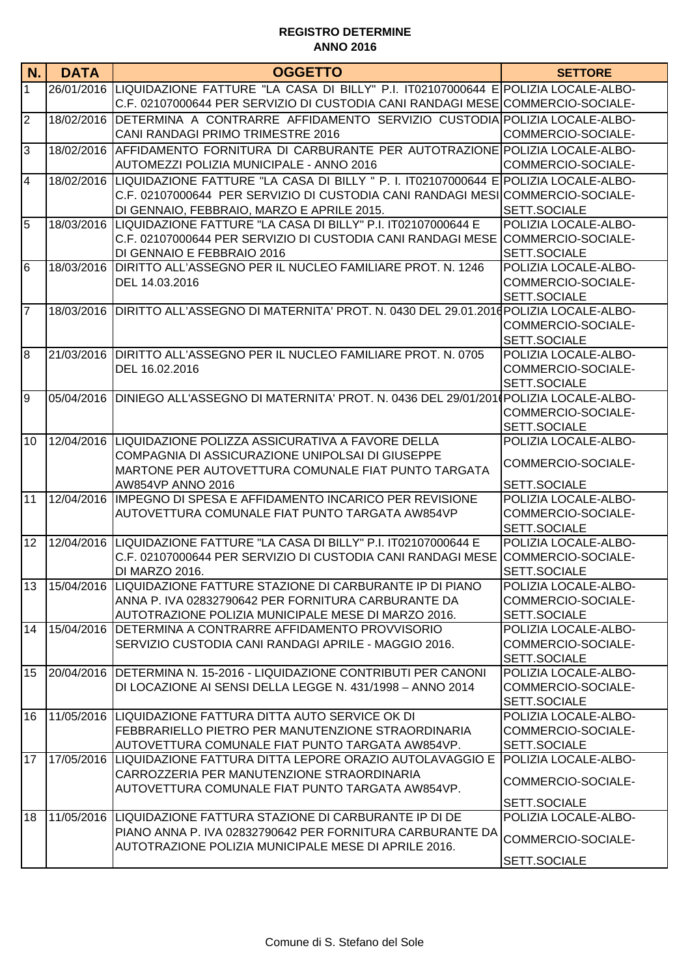| N.             | <b>DATA</b> | <b>OGGETTO</b>                                                                                 | <b>SETTORE</b>                       |
|----------------|-------------|------------------------------------------------------------------------------------------------|--------------------------------------|
| $\overline{1}$ |             | 26/01/2016 LIQUIDAZIONE FATTURE "LA CASA DI BILLY" P.I. IT02107000644 E POLIZIA LOCALE-ALBO-   |                                      |
|                |             | C.F. 02107000644 PER SERVIZIO DI CUSTODIA CANI RANDAGI MESE COMMERCIO-SOCIALE-                 |                                      |
| $\overline{2}$ | 18/02/2016  | DETERMINA A CONTRARRE AFFIDAMENTO SERVIZIO CUSTODIA POLIZIA LOCALE-ALBO-                       |                                      |
|                |             | CANI RANDAGI PRIMO TRIMESTRE 2016                                                              | COMMERCIO-SOCIALE-                   |
| 3              | 18/02/2016  | AFFIDAMENTO FORNITURA DI CARBURANTE PER AUTOTRAZIONE POLIZIA LOCALE-ALBO-                      |                                      |
|                |             | AUTOMEZZI POLIZIA MUNICIPALE - ANNO 2016                                                       | COMMERCIO-SOCIALE-                   |
| $\overline{4}$ | 18/02/2016  | LIQUIDAZIONE FATTURE "LA CASA DI BILLY " P. I. IT02107000644 ELPOLIZIA LOCALE-ALBO-            |                                      |
|                |             | C.F. 02107000644 PER SERVIZIO DI CUSTODIA CANI RANDAGI MESI COMMERCIO-SOCIALE-                 |                                      |
|                |             | DI GENNAIO, FEBBRAIO, MARZO E APRILE 2015.                                                     | SETT.SOCIALE                         |
| 5              | 18/03/2016  | LIQUIDAZIONE FATTURE "LA CASA DI BILLY" P.I. IT02107000644 E                                   | POLIZIA LOCALE-ALBO-                 |
|                |             | C.F. 02107000644 PER SERVIZIO DI CUSTODIA CANI RANDAGI MESE                                    | COMMERCIO-SOCIALE-                   |
|                |             | DI GENNAIO E FEBBRAIO 2016                                                                     | SETT.SOCIALE                         |
| 6              | 18/03/2016  | DIRITTO ALL'ASSEGNO PER IL NUCLEO FAMILIARE PROT. N. 1246                                      | POLIZIA LOCALE-ALBO-                 |
|                |             | DEL 14.03.2016                                                                                 | COMMERCIO-SOCIALE-<br>SETT.SOCIALE   |
| $\overline{7}$ |             | 18/03/2016 DIRITTO ALL'ASSEGNO DI MATERNITA' PROT. N. 0430 DEL 29.01.2016 POLIZIA LOCALE-ALBO- |                                      |
|                |             |                                                                                                | COMMERCIO-SOCIALE-                   |
|                |             |                                                                                                | SETT.SOCIALE                         |
| 8              | 21/03/2016  | DIRITTO ALL'ASSEGNO PER IL NUCLEO FAMILIARE PROT. N. 0705                                      | POLIZIA LOCALE-ALBO-                 |
|                |             | DEL 16.02.2016                                                                                 | COMMERCIO-SOCIALE-                   |
|                |             |                                                                                                | SETT.SOCIALE                         |
| 9              | 05/04/2016  | DINIEGO ALL'ASSEGNO DI MATERNITA' PROT. N. 0436 DEL 29/01/2010 POLIZIA LOCALE-ALBO-            |                                      |
|                |             |                                                                                                | COMMERCIO-SOCIALE-                   |
|                |             |                                                                                                | SETT.SOCIALE                         |
| l10            | 12/04/2016  | LIQUIDAZIONE POLIZZA ASSICURATIVA A FAVORE DELLA                                               | POLIZIA LOCALE-ALBO-                 |
|                |             | COMPAGNIA DI ASSICURAZIONE UNIPOLSAI DI GIUSEPPE                                               | COMMERCIO-SOCIALE-                   |
|                |             | MARTONE PER AUTOVETTURA COMUNALE FIAT PUNTO TARGATA                                            |                                      |
|                |             | AW854VP ANNO 2016                                                                              | <b>SETT.SOCIALE</b>                  |
| 11             | 12/04/2016  | IMPEGNO DI SPESA E AFFIDAMENTO INCARICO PER REVISIONE                                          | POLIZIA LOCALE-ALBO-                 |
|                |             | AUTOVETTURA COMUNALE FIAT PUNTO TARGATA AW854VP                                                | COMMERCIO-SOCIALE-                   |
|                |             |                                                                                                | SETT.SOCIALE                         |
| 12             |             | 12/04/2016  LIQUIDAZIONE FATTURE "LA CASA DI BILLY" P.I. IT02107000644 E                       | POLIZIA LOCALE-ALBO-                 |
|                |             | C.F. 02107000644 PER SERVIZIO DI CUSTODIA CANI RANDAGI MESE<br>DI MARZO 2016.                  | COMMERCIO-SOCIALE-<br>SETT.SOCIALE   |
| 13             |             | 15/04/2016  LIQUIDAZIONE FATTURE STAZIONE DI CARBURANTE IP DI PIANO                            | POLIZIA LOCALE-ALBO-                 |
|                |             | ANNA P. IVA 02832790642 PER FORNITURA CARBURANTE DA                                            | COMMERCIO-SOCIALE-                   |
|                |             | AUTOTRAZIONE POLIZIA MUNICIPALE MESE DI MARZO 2016.                                            | SETT.SOCIALE                         |
| 14             | 15/04/2016  | <b>IDETERMINA A CONTRARRE AFFIDAMENTO PROVVISORIO</b>                                          | POLIZIA LOCALE-ALBO-                 |
|                |             | SERVIZIO CUSTODIA CANI RANDAGI APRILE - MAGGIO 2016.                                           | COMMERCIO-SOCIALE-                   |
|                |             |                                                                                                | SETT.SOCIALE                         |
| 15             |             | 20/04/2016 DETERMINA N. 15-2016 - LIQUIDAZIONE CONTRIBUTI PER CANONI                           | POLIZIA LOCALE-ALBO-                 |
|                |             | DI LOCAZIONE AI SENSI DELLA LEGGE N. 431/1998 - ANNO 2014                                      | COMMERCIO-SOCIALE-                   |
|                |             |                                                                                                | SETT.SOCIALE                         |
| 16             |             | 11/05/2016 LIQUIDAZIONE FATTURA DITTA AUTO SERVICE OK DI                                       | POLIZIA LOCALE-ALBO-                 |
|                |             | FEBBRARIELLO PIETRO PER MANUTENZIONE STRAORDINARIA                                             | COMMERCIO-SOCIALE-                   |
|                |             | AUTOVETTURA COMUNALE FIAT PUNTO TARGATA AW854VP.                                               | SETT.SOCIALE                         |
| 17             | 17/05/2016  | LIQUIDAZIONE FATTURA DITTA LEPORE ORAZIO AUTOLAVAGGIO E                                        | POLIZIA LOCALE-ALBO-                 |
|                |             | CARROZZERIA PER MANUTENZIONE STRAORDINARIA                                                     | COMMERCIO-SOCIALE-                   |
|                |             | AUTOVETTURA COMUNALE FIAT PUNTO TARGATA AW854VP.                                               |                                      |
| 18             | 11/05/2016  | LIQUIDAZIONE FATTURA STAZIONE DI CARBURANTE IP DI DE                                           | SETT.SOCIALE<br>POLIZIA LOCALE-ALBO- |
|                |             | PIANO ANNA P. IVA 02832790642 PER FORNITURA CARBURANTE DA                                      |                                      |
|                |             | AUTOTRAZIONE POLIZIA MUNICIPALE MESE DI APRILE 2016.                                           | COMMERCIO-SOCIALE-                   |
|                |             |                                                                                                | SETT.SOCIALE                         |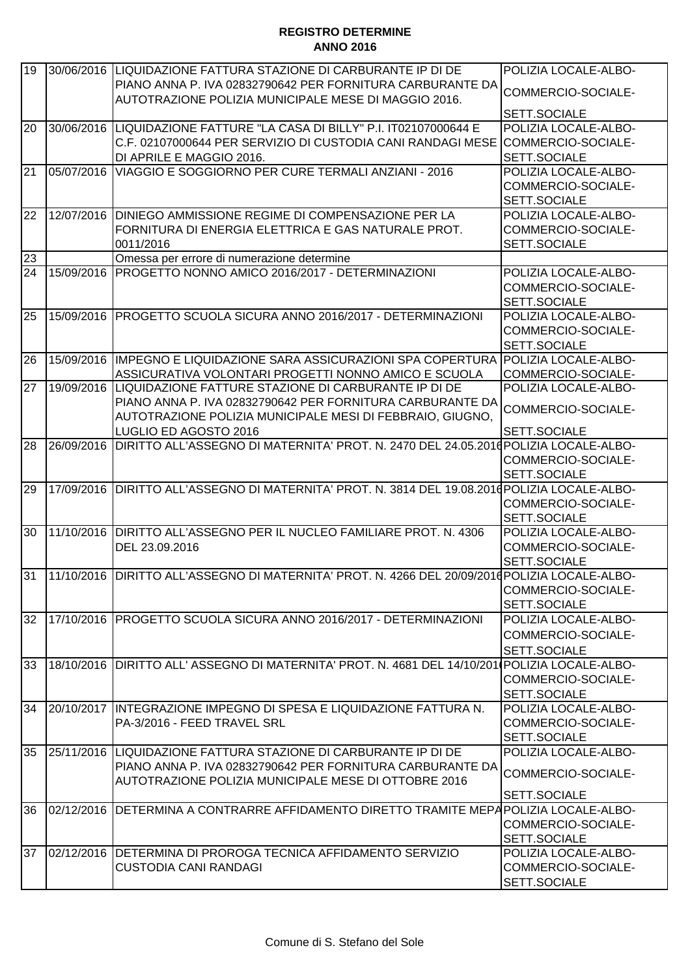| 19 |            | 30/06/2016 LIQUIDAZIONE FATTURA STAZIONE DI CARBURANTE IP DI DE                                | POLIZIA LOCALE-ALBO- |
|----|------------|------------------------------------------------------------------------------------------------|----------------------|
|    |            | PIANO ANNA P. IVA 02832790642 PER FORNITURA CARBURANTE DA                                      |                      |
|    |            | AUTOTRAZIONE POLIZIA MUNICIPALE MESE DI MAGGIO 2016.                                           | COMMERCIO-SOCIALE-   |
|    |            |                                                                                                | SETT.SOCIALE         |
| 20 | 30/06/2016 | LIQUIDAZIONE FATTURE "LA CASA DI BILLY" P.I. IT02107000644 E                                   | POLIZIA LOCALE-ALBO- |
|    |            | C.F. 02107000644 PER SERVIZIO DI CUSTODIA CANI RANDAGI MESE                                    | COMMERCIO-SOCIALE-   |
|    |            | DI APRILE E MAGGIO 2016.                                                                       | SETT.SOCIALE         |
| 21 | 05/07/2016 | VIAGGIO E SOGGIORNO PER CURE TERMALI ANZIANI - 2016                                            | POLIZIA LOCALE-ALBO- |
|    |            |                                                                                                | COMMERCIO-SOCIALE-   |
|    |            |                                                                                                | SETT.SOCIALE         |
| 22 | 12/07/2016 | DINIEGO AMMISSIONE REGIME DI COMPENSAZIONE PER LA                                              | POLIZIA LOCALE-ALBO- |
|    |            | FORNITURA DI ENERGIA ELETTRICA E GAS NATURALE PROT.                                            | COMMERCIO-SOCIALE-   |
|    |            | 0011/2016                                                                                      | SETT.SOCIALE         |
| 23 |            | Omessa per errore di numerazione determine                                                     |                      |
| 24 | 15/09/2016 | PROGETTO NONNO AMICO 2016/2017 - DETERMINAZIONI                                                | POLIZIA LOCALE-ALBO- |
|    |            |                                                                                                | COMMERCIO-SOCIALE-   |
|    |            |                                                                                                | SETT.SOCIALE         |
| 25 |            | 15/09/2016 PROGETTO SCUOLA SICURA ANNO 2016/2017 - DETERMINAZIONI                              | POLIZIA LOCALE-ALBO- |
|    |            |                                                                                                | COMMERCIO-SOCIALE-   |
|    |            |                                                                                                |                      |
|    |            |                                                                                                | SETT.SOCIALE         |
| 26 |            | 15/09/2016 IMPEGNO E LIQUIDAZIONE SARA ASSICURAZIONI SPA COPERTURA                             | POLIZIA LOCALE-ALBO- |
|    | 19/09/2016 | ASSICURATIVA VOLONTARI PROGETTI NONNO AMICO E SCUOLA                                           | COMMERCIO-SOCIALE-   |
| 27 |            | LIQUIDAZIONE FATTURE STAZIONE DI CARBURANTE IP DI DE                                           | POLIZIA LOCALE-ALBO- |
|    |            | PIANO ANNA P. IVA 02832790642 PER FORNITURA CARBURANTE DA                                      | COMMERCIO-SOCIALE-   |
|    |            | AUTOTRAZIONE POLIZIA MUNICIPALE MESI DI FEBBRAIO, GIUGNO,                                      |                      |
|    |            | LUGLIO ED AGOSTO 2016                                                                          | SETT.SOCIALE         |
| 28 |            | 26/09/2016 DIRITTO ALL'ASSEGNO DI MATERNITA' PROT. N. 2470 DEL 24.05.2016                      | POLIZIA LOCALE-ALBO- |
|    |            |                                                                                                | COMMERCIO-SOCIALE-   |
|    |            |                                                                                                | SETT.SOCIALE         |
| 29 | 17/09/2016 | DIRITTO ALL'ASSEGNO DI MATERNITA' PROT. N. 3814 DEL 19.08.2010 POLIZIA LOCALE-ALBO-            |                      |
|    |            |                                                                                                | COMMERCIO-SOCIALE-   |
|    |            |                                                                                                | SETT.SOCIALE         |
| 30 | 11/10/2016 | DIRITTO ALL'ASSEGNO PER IL NUCLEO FAMILIARE PROT. N. 4306                                      | POLIZIA LOCALE-ALBO- |
|    |            | DEL 23.09.2016                                                                                 | COMMERCIO-SOCIALE-   |
|    |            |                                                                                                | SETT.SOCIALE         |
| 31 |            | 11/10/2016 DIRITTO ALL'ASSEGNO DI MATERNITA' PROT. N. 4266 DEL 20/09/2016 POLIZIA LOCALE-ALBO- |                      |
|    |            |                                                                                                | COMMERCIO-SOCIALE-   |
|    |            |                                                                                                | SETT.SOCIALE         |
| 32 |            | 17/10/2016 PROGETTO SCUOLA SICURA ANNO 2016/2017 - DETERMINAZIONI                              | POLIZIA LOCALE-ALBO- |
|    |            |                                                                                                | COMMERCIO-SOCIALE-   |
|    |            |                                                                                                | SETT.SOCIALE         |
| 33 |            | 18/10/2016 DIRITTO ALL' ASSEGNO DI MATERNITA' PROT. N. 4681 DEL 14/10/201 POLIZIA LOCALE-ALBO- |                      |
|    |            |                                                                                                | COMMERCIO-SOCIALE-   |
|    |            |                                                                                                | SETT.SOCIALE         |
| 34 | 20/10/2017 | INTEGRAZIONE IMPEGNO DI SPESA E LIQUIDAZIONE FATTURA N.                                        | POLIZIA LOCALE-ALBO- |
|    |            | PA-3/2016 - FEED TRAVEL SRL                                                                    | COMMERCIO-SOCIALE-   |
|    |            |                                                                                                | SETT.SOCIALE         |
| 35 |            | 25/11/2016  LIQUIDAZIONE FATTURA STAZIONE DI CARBURANTE IP DI DE                               | POLIZIA LOCALE-ALBO- |
|    |            | PIANO ANNA P. IVA 02832790642 PER FORNITURA CARBURANTE DA                                      |                      |
|    |            | AUTOTRAZIONE POLIZIA MUNICIPALE MESE DI OTTOBRE 2016                                           | COMMERCIO-SOCIALE-   |
|    |            |                                                                                                | SETT.SOCIALE         |
| 36 | 02/12/2016 | DETERMINA A CONTRARRE AFFIDAMENTO DIRETTO TRAMITE MEPAPOLIZIA LOCALE-ALBO-                     |                      |
|    |            |                                                                                                |                      |
|    |            |                                                                                                | COMMERCIO-SOCIALE-   |
|    |            |                                                                                                | SETT.SOCIALE         |
| 37 | 02/12/2016 | DETERMINA DI PROROGA TECNICA AFFIDAMENTO SERVIZIO                                              | POLIZIA LOCALE-ALBO- |
|    |            | CUSTODIA CANI RANDAGI                                                                          | COMMERCIO-SOCIALE-   |
|    |            |                                                                                                | SETT.SOCIALE         |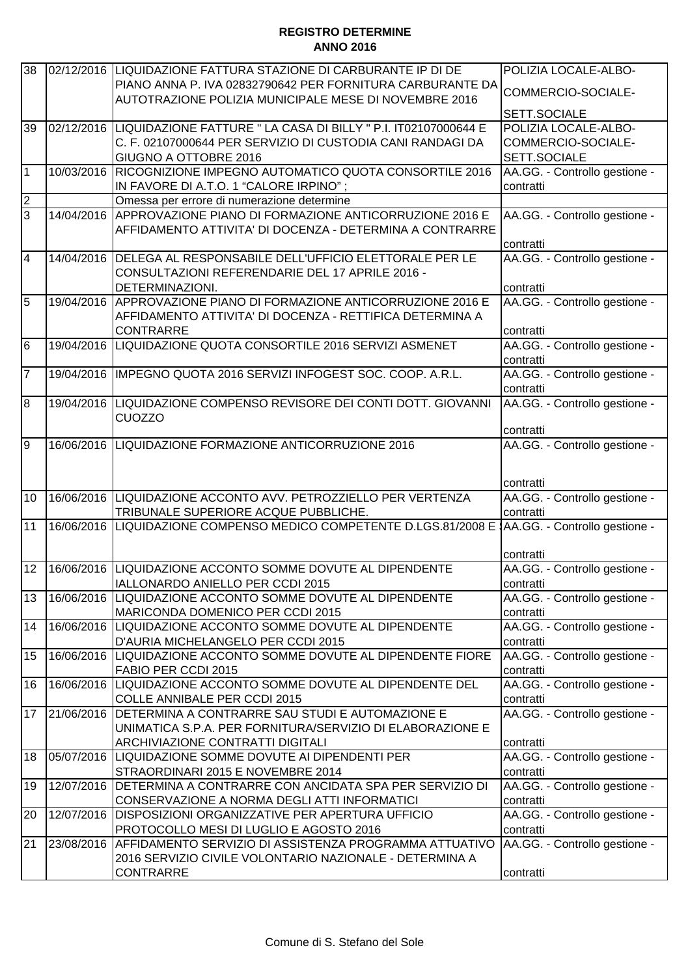| 38              |            | 02/12/2016 LIQUIDAZIONE FATTURA STAZIONE DI CARBURANTE IP DI DE             | POLIZIA LOCALE-ALBO-          |
|-----------------|------------|-----------------------------------------------------------------------------|-------------------------------|
|                 |            | PIANO ANNA P. IVA 02832790642 PER FORNITURA CARBURANTE DA                   |                               |
|                 |            | AUTOTRAZIONE POLIZIA MUNICIPALE MESE DI NOVEMBRE 2016                       | COMMERCIO-SOCIALE-            |
|                 |            |                                                                             | SETT.SOCIALE                  |
| 39              | 02/12/2016 | LIQUIDAZIONE FATTURE " LA CASA DI BILLY " P.I. IT02107000644 E              | POLIZIA LOCALE-ALBO-          |
|                 |            | C. F. 02107000644 PER SERVIZIO DI CUSTODIA CANI RANDAGI DA                  | COMMERCIO-SOCIALE-            |
|                 |            | GIUGNO A OTTOBRE 2016                                                       | SETT.SOCIALE                  |
| $\overline{1}$  | 10/03/2016 | RICOGNIZIONE IMPEGNO AUTOMATICO QUOTA CONSORTILE 2016                       | AA.GG. - Controllo gestione - |
|                 |            | IN FAVORE DI A.T.O. 1 "CALORE IRPINO";                                      | contratti                     |
| $\overline{c}$  |            | Omessa per errore di numerazione determine                                  |                               |
| $\overline{3}$  | 14/04/2016 | APPROVAZIONE PIANO DI FORMAZIONE ANTICORRUZIONE 2016 E                      | AA.GG. - Controllo gestione - |
|                 |            | AFFIDAMENTO ATTIVITA' DI DOCENZA - DETERMINA A CONTRARRE                    |                               |
|                 |            |                                                                             | contratti                     |
| $\overline{4}$  |            | 14/04/2016 DELEGA AL RESPONSABILE DELL'UFFICIO ELETTORALE PER LE            | AA.GG. - Controllo gestione - |
|                 |            | CONSULTAZIONI REFERENDARIE DEL 17 APRILE 2016 -                             |                               |
|                 |            | DETERMINAZIONI.                                                             | contratti                     |
| 5               | 19/04/2016 | APPROVAZIONE PIANO DI FORMAZIONE ANTICORRUZIONE 2016 E                      | AA.GG. - Controllo gestione - |
|                 |            | AFFIDAMENTO ATTIVITA' DI DOCENZA - RETTIFICA DETERMINA A                    |                               |
|                 |            | <b>CONTRARRE</b>                                                            | contratti                     |
| $6\overline{6}$ | 19/04/2016 | LIQUIDAZIONE QUOTA CONSORTILE 2016 SERVIZI ASMENET                          | AA.GG. - Controllo gestione - |
|                 |            |                                                                             | contratti                     |
| $\overline{7}$  | 19/04/2016 | IMPEGNO QUOTA 2016 SERVIZI INFOGEST SOC. COOP. A.R.L.                       | AA.GG. - Controllo gestione - |
|                 |            |                                                                             | contratti                     |
| 8               | 19/04/2016 | LIQUIDAZIONE COMPENSO REVISORE DEI CONTI DOTT. GIOVANNI                     | AA.GG. - Controllo gestione - |
|                 |            | <b>CUOZZO</b>                                                               |                               |
|                 |            |                                                                             | contratti                     |
| 9               |            | 16/06/2016  LIQUIDAZIONE FORMAZIONE ANTICORRUZIONE 2016                     | AA.GG. - Controllo gestione - |
|                 |            |                                                                             |                               |
|                 |            |                                                                             | contratti                     |
| 10              |            | 16/06/2016 LIQUIDAZIONE ACCONTO AVV. PETROZZIELLO PER VERTENZA              | AA.GG. - Controllo gestione - |
|                 |            | TRIBUNALE SUPERIORE ACQUE PUBBLICHE.                                        | contratti                     |
| 11              | 16/06/2016 | LIQUIDAZIONE COMPENSO MEDICO COMPETENTE D.LGS.81/2008 E                     | AA.GG. - Controllo gestione - |
|                 |            |                                                                             |                               |
|                 |            |                                                                             | contratti                     |
| 12              |            | 16/06/2016  LIQUIDAZIONE ACCONTO SOMME DOVUTE AL DIPENDENTE                 | AA.GG. - Controllo gestione - |
|                 |            | IALLONARDO ANIELLO PER CCDI 2015                                            | contratti                     |
| 13              | 16/06/2016 | LIQUIDAZIONE ACCONTO SOMME DOVUTE AL DIPENDENTE                             | AA.GG. - Controllo gestione - |
|                 |            | MARICONDA DOMENICO PER CCDI 2015                                            | contratti                     |
| 14              |            | 16/06/2016 LIQUIDAZIONE ACCONTO SOMME DOVUTE AL DIPENDENTE                  | AA.GG. - Controllo gestione - |
|                 |            | D'AURIA MICHELANGELO PER CCDI 2015                                          | contratti                     |
| 15              |            | 16/06/2016 LIQUIDAZIONE ACCONTO SOMME DOVUTE AL DIPENDENTE FIORE            | AA.GG. - Controllo gestione - |
|                 |            | FABIO PER CCDI 2015                                                         | contratti                     |
| 16              |            | 16/06/2016 LIQUIDAZIONE ACCONTO SOMME DOVUTE AL DIPENDENTE DEL              | AA.GG. - Controllo gestione - |
|                 |            | COLLE ANNIBALE PER CCDI 2015                                                | contratti                     |
| 17              | 21/06/2016 | DETERMINA A CONTRARRE SAU STUDI E AUTOMAZIONE E                             | AA.GG. - Controllo gestione - |
|                 |            | UNIMATICA S.P.A. PER FORNITURA/SERVIZIO DI ELABORAZIONE E                   |                               |
|                 |            | ARCHIVIAZIONE CONTRATTI DIGITALI                                            | contratti                     |
| 18              | 05/07/2016 | LIQUIDAZIONE SOMME DOVUTE AI DIPENDENTI PER                                 | AA.GG. - Controllo gestione - |
|                 |            | STRAORDINARI 2015 E NOVEMBRE 2014                                           | contratti                     |
| 19              | 12/07/2016 | DETERMINA A CONTRARRE CON ANCIDATA SPA PER SERVIZIO DI                      | AA.GG. - Controllo gestione - |
|                 |            | CONSERVAZIONE A NORMA DEGLI ATTI INFORMATICI                                | contratti                     |
| 20              | 12/07/2016 | <b>DISPOSIZIONI ORGANIZZATIVE PER APERTURA UFFICIO</b>                      | AA.GG. - Controllo gestione - |
|                 |            | PROTOCOLLO MESI DI LUGLIO E AGOSTO 2016                                     | contratti                     |
| 21              | 23/08/2016 | AFFIDAMENTO SERVIZIO DI ASSISTENZA PROGRAMMA ATTUATIVO                      | AA.GG. - Controllo gestione - |
|                 |            |                                                                             |                               |
|                 |            | 2016 SERVIZIO CIVILE VOLONTARIO NAZIONALE - DETERMINA A<br><b>CONTRARRE</b> |                               |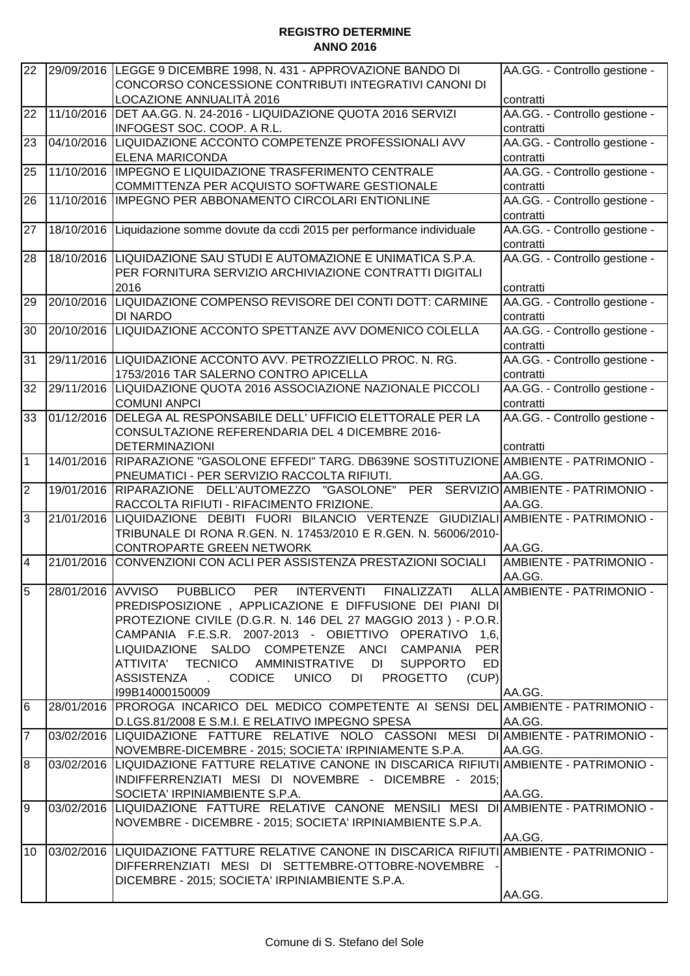| 22             |            | 29/09/2016 LEGGE 9 DICEMBRE 1998, N. 431 - APPROVAZIONE BANDO DI                              | AA.GG. - Controllo gestione -        |
|----------------|------------|-----------------------------------------------------------------------------------------------|--------------------------------------|
|                |            | CONCORSO CONCESSIONE CONTRIBUTI INTEGRATIVI CANONI DI                                         |                                      |
|                |            | LOCAZIONE ANNUALITÀ 2016                                                                      | contratti                            |
| 22             | 11/10/2016 | DET AA.GG. N. 24-2016 - LIQUIDAZIONE QUOTA 2016 SERVIZI                                       | AA.GG. - Controllo gestione -        |
|                |            | INFOGEST SOC. COOP. A R.L.                                                                    | contratti                            |
| 23             | 04/10/2016 | LIQUIDAZIONE ACCONTO COMPETENZE PROFESSIONALI AVV                                             | AA.GG. - Controllo gestione -        |
|                |            | <b>ELENA MARICONDA</b>                                                                        | contratti                            |
| 25             | 11/10/2016 | IMPEGNO E LIQUIDAZIONE TRASFERIMENTO CENTRALE                                                 | AA.GG. - Controllo gestione -        |
|                |            | COMMITTENZA PER ACQUISTO SOFTWARE GESTIONALE                                                  | contratti                            |
| 26             | 11/10/2016 | IMPEGNO PER ABBONAMENTO CIRCOLARI ENTIONLINE                                                  | AA.GG. - Controllo gestione -        |
|                |            |                                                                                               | contratti                            |
| 27             | 18/10/2016 | Liquidazione somme dovute da ccdi 2015 per performance individuale                            | AA.GG. - Controllo gestione -        |
|                |            |                                                                                               | contratti                            |
| 28             |            | 18/10/2016 LIQUIDAZIONE SAU STUDI E AUTOMAZIONE E UNIMATICA S.P.A.                            | AA.GG. - Controllo gestione -        |
|                |            | PER FORNITURA SERVIZIO ARCHIVIAZIONE CONTRATTI DIGITALI                                       |                                      |
|                |            | 2016                                                                                          | contratti                            |
| 29             | 20/10/2016 | LIQUIDAZIONE COMPENSO REVISORE DEI CONTI DOTT: CARMINE                                        | AA.GG. - Controllo gestione -        |
|                |            | <b>DI NARDO</b>                                                                               | contratti                            |
| 30             | 20/10/2016 | LIQUIDAZIONE ACCONTO SPETTANZE AVV DOMENICO COLELLA                                           | AA.GG. - Controllo gestione -        |
|                |            |                                                                                               | contratti                            |
| 31             |            | 29/11/2016 LIQUIDAZIONE ACCONTO AVV. PETROZZIELLO PROC. N. RG.                                | AA.GG. - Controllo gestione -        |
|                |            | 1753/2016 TAR SALERNO CONTRO APICELLA                                                         | contratti                            |
| 32             | 29/11/2016 | LIQUIDAZIONE QUOTA 2016 ASSOCIAZIONE NAZIONALE PICCOLI                                        | AA.GG. - Controllo gestione -        |
|                |            | <b>COMUNI ANPCI</b>                                                                           | contratti                            |
| 33             | 01/12/2016 | DELEGA AL RESPONSABILE DELL' UFFICIO ELETTORALE PER LA                                        | AA.GG. - Controllo gestione -        |
|                |            | CONSULTAZIONE REFERENDARIA DEL 4 DICEMBRE 2016-                                               |                                      |
|                |            | <b>DETERMINAZIONI</b>                                                                         | contratti                            |
| $\mathbf 1$    | 14/01/2016 | RIPARAZIONE "GASOLONE EFFEDI" TARG. DB639NE SOSTITUZIONE AMBIENTE - PATRIMONIO -              |                                      |
|                |            | PNEUMATICI - PER SERVIZIO RACCOLTA RIFIUTI.                                                   | AA.GG.                               |
| ΣJ             | 19/01/2016 | RIPARAZIONE DELL'AUTOMEZZO "GASOLONE"                                                         | PER SERVIZIO AMBIENTE - PATRIMONIO - |
|                |            | RACCOLTA RIFIUTI - RIFACIMENTO FRIZIONE.                                                      | AA.GG.                               |
| က              | 21/01/2016 | LIQUIDAZIONE DEBITI FUORI BILANCIO VERTENZE GIUDIZIALI                                        | AMBIENTE - PATRIMONIO -              |
|                |            | TRIBUNALE DI RONA R.GEN. N. 17453/2010 E R.GEN. N. 56006/2010-<br>CONTROPARTE GREEN NETWORK   | AA.GG.                               |
| $\overline{4}$ | 21/01/2016 | CONVENZIONI CON ACLI PER ASSISTENZA PRESTAZIONI SOCIALI                                       | AMBIENTE - PATRIMONIO -              |
|                |            |                                                                                               | AA.GG.                               |
| $\overline{5}$ |            | 28/01/2016 AVVISO PUBBLICO PER INTERVENTI FINALIZZATI ALLA AMBIENTE - PATRIMONIO -            |                                      |
|                |            | PREDISPOSIZIONE, APPLICAZIONE E DIFFUSIONE DEI PIANI DI                                       |                                      |
|                |            | PROTEZIONE CIVILE (D.G.R. N. 146 DEL 27 MAGGIO 2013 ) - P.O.R.                                |                                      |
|                |            | CAMPANIA F.E.S.R. 2007-2013 - OBIETTIVO OPERATIVO 1,6,                                        |                                      |
|                |            | LIQUIDAZIONE SALDO COMPETENZE ANCI CAMPANIA<br><b>PER</b>                                     |                                      |
|                |            | ATTIVITA' TECNICO AMMINISTRATIVE<br>DI<br><b>SUPPORTO</b><br><b>ED</b>                        |                                      |
|                |            | CODICE UNICO DI<br>(CUP)<br><b>ASSISTENZA</b><br><b>PROGETTO</b>                              |                                      |
|                |            | I99B14000150009                                                                               | AA.GG.                               |
| 6              |            | 28/01/2016 PROROGA INCARICO DEL MEDICO COMPETENTE AI SENSI DEL AMBIENTE - PATRIMONIO -        |                                      |
|                |            | D.LGS.81/2008 E S.M.I. E RELATIVO IMPEGNO SPESA                                               | AA.GG.                               |
| $\overline{7}$ |            | 03/02/2016 LIQUIDAZIONE FATTURE RELATIVE NOLO CASSONI MESI DI AMBIENTE - PATRIMONIO -         |                                      |
|                |            | NOVEMBRE-DICEMBRE - 2015; SOCIETA' IRPINIAMENTE S.P.A.                                        | AA.GG.                               |
| 8              |            | 03/02/2016  LIQUIDAZIONE FATTURE RELATIVE CANONE IN DISCARICA RIFIUTI AMBIENTE - PATRIMONIO - |                                      |
|                |            | INDIFFERRENZIATI MESI DI NOVEMBRE - DICEMBRE - 2015;                                          |                                      |
|                |            | SOCIETA' IRPINIAMBIENTE S.P.A.                                                                | AA.GG.                               |
| 9              |            | 03/02/2016 LIQUIDAZIONE FATTURE RELATIVE CANONE MENSILI MESI DI AMBIENTE - PATRIMONIO -       |                                      |
|                |            | NOVEMBRE - DICEMBRE - 2015; SOCIETA' IRPINIAMBIENTE S.P.A.                                    |                                      |
|                |            |                                                                                               | AA.GG.                               |
| 10             |            | 03/02/2016 LIQUIDAZIONE FATTURE RELATIVE CANONE IN DISCARICA RIFIUTI AMBIENTE - PATRIMONIO -  |                                      |
|                |            | DIFFERRENZIATI MESI DI SETTEMBRE-OTTOBRE-NOVEMBRE                                             |                                      |
|                |            | DICEMBRE - 2015; SOCIETA' IRPINIAMBIENTE S.P.A.                                               |                                      |
|                |            |                                                                                               | AA.GG.                               |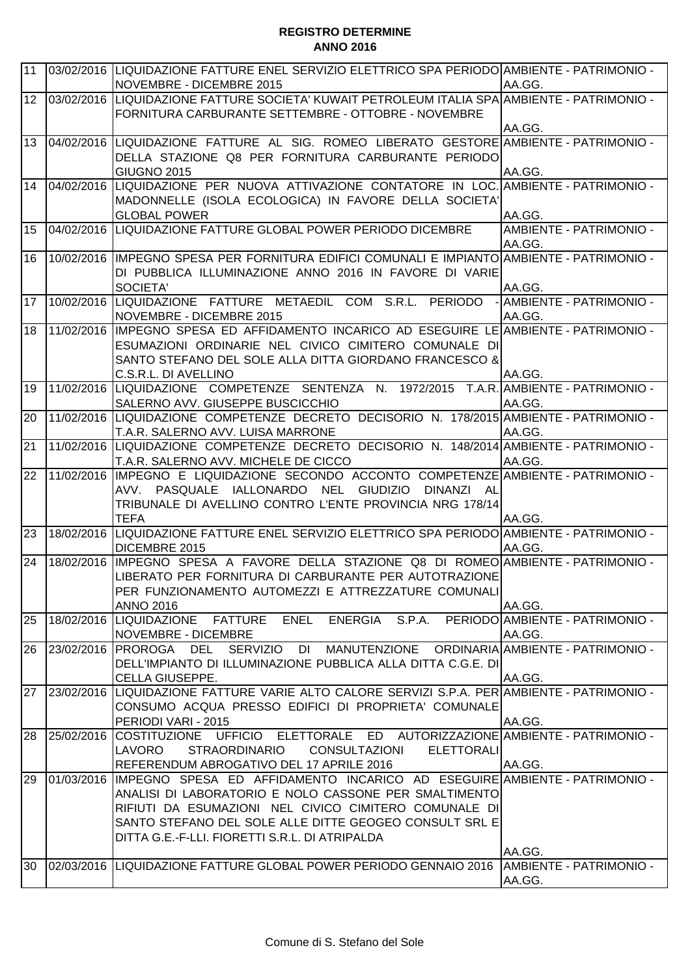| 11              |            | 03/02/2016 LIQUIDAZIONE FATTURE ENEL SERVIZIO ELETTRICO SPA PERIODO AMBIENTE - PATRIMONIO -                                  | AA.GG.                          |
|-----------------|------------|------------------------------------------------------------------------------------------------------------------------------|---------------------------------|
| 12              |            | NOVEMBRE - DICEMBRE 2015<br>03/02/2016  LIQUIDAZIONE FATTURE SOCIETA' KUWAIT PETROLEUM ITALIA SPA AMBIENTE - PATRIMONIO -    |                                 |
|                 |            | FORNITURA CARBURANTE SETTEMBRE - OTTOBRE - NOVEMBRE                                                                          |                                 |
|                 |            | - 04/02/2016  LIQUIDAZIONE  FATTURE  AL  SIG.  ROMEO  LIBERATO  GESTORE AMBIENTE - PATRIMONIO                                | AA.GG.                          |
| 13              |            |                                                                                                                              |                                 |
|                 |            | DELLA STAZIONE Q8 PER FORNITURA CARBURANTE PERIODO<br><b>GIUGNO 2015</b>                                                     | AA.GG.                          |
| 14              | 04/02/2016 | LIQUIDAZIONE PER NUOVA ATTIVAZIONE CONTATORE IN LOC. AMBIENTE - PATRIMONIO -                                                 |                                 |
|                 |            | MADONNELLE (ISOLA ECOLOGICA) IN FAVORE DELLA SOCIETA'                                                                        |                                 |
|                 |            | <b>GLOBAL POWER</b>                                                                                                          | AA.GG.                          |
| 15              |            | 04/02/2016 LIQUIDAZIONE FATTURE GLOBAL POWER PERIODO DICEMBRE                                                                | AMBIENTE - PATRIMONIO -         |
|                 |            |                                                                                                                              | AA.GG.                          |
| 16              |            | 10/02/2016  IMPEGNO SPESA PER FORNITURA EDIFICI COMUNALI E IMPIANTO AMBIENTE - PATRIMONIO -                                  |                                 |
|                 |            | DI PUBBLICA ILLUMINAZIONE ANNO 2016 IN FAVORE DI VARIE                                                                       |                                 |
|                 |            | <b>SOCIETA'</b>                                                                                                              | AA.GG.                          |
| 17              |            | 10/02/2016 LIQUIDAZIONE FATTURE METAEDIL COM S.R.L. PERIODO                                                                  | AMBIENTE - PATRIMONIO -         |
|                 |            | NOVEMBRE - DICEMBRE 2015                                                                                                     | AA.GG.                          |
| 18              | 11/02/2016 | IIMPEGNO SPESA ED AFFIDAMENTO INCARICO AD ESEGUIRE LE AMBIENTE - PATRIMONIO -                                                |                                 |
|                 |            | ESUMAZIONI ORDINARIE NEL CIVICO CIMITERO COMUNALE DI                                                                         |                                 |
|                 |            | SANTO STEFANO DEL SOLE ALLA DITTA GIORDANO FRANCESCO &                                                                       |                                 |
|                 |            | C.S.R.L. DI AVELLINO                                                                                                         | AA.GG.                          |
| 19              |            | 11/02/2016 LIQUIDAZIONE COMPETENZE SENTENZA N. 1972/2015 T.A.R. AMBIENTE - PATRIMONIO -                                      |                                 |
| 20              |            | SALERNO AVV. GIUSEPPE BUSCICCHIO<br>11/02/2016 LIQUIDAZIONE COMPETENZE DECRETO DECISORIO N. 178/2015 AMBIENTE - PATRIMONIO - | AA.GG.                          |
|                 |            | T.A.R. SALERNO AVV. LUISA MARRONE                                                                                            | AA.GG.                          |
| $\overline{21}$ |            | 11/02/2016 LIQUIDAZIONE COMPETENZE DECRETO DECISORIO N. 148/2014 AMBIENTE - PATRIMONIO -                                     |                                 |
|                 |            | T.A.R. SALERNO AVV. MICHELE DE CICCO                                                                                         | AA.GG.                          |
| 22              | 11/02/2016 | IMPEGNO E LIQUIDAZIONE SECONDO ACCONTO COMPETENZE AMBIENTE - PATRIMONIO -                                                    |                                 |
|                 |            | IALLONARDO NEL<br><b>GIUDIZIO</b><br>AVV. PASQUALE<br>DINANZI AL                                                             |                                 |
|                 |            | TRIBUNALE DI AVELLINO CONTRO L'ENTE PROVINCIA NRG 178/14                                                                     |                                 |
|                 |            | <b>TEFA</b>                                                                                                                  | AA.GG.                          |
| 23              | 18/02/2016 | LIQUIDAZIONE FATTURE ENEL SERVIZIO ELETTRICO SPA PERIODO AMBIENTE - PATRIMONIO -                                             |                                 |
|                 |            | DICEMBRE 2015                                                                                                                | AA.GG.                          |
| 24              |            | 18/02/2016 IMPEGNO SPESA A FAVORE DELLA STAZIONE Q8 DI ROMEO AMBIENTE - PATRIMONIO -                                         |                                 |
|                 |            | LIBERATO PER FORNITURA DI CARBURANTE PER AUTOTRAZIONE                                                                        |                                 |
|                 |            | PER FUNZIONAMENTO AUTOMEZZI E ATTREZZATURE COMUNALI                                                                          |                                 |
|                 |            | <b>ANNO 2016</b>                                                                                                             | AA.GG.                          |
| 25              |            | 18/02/2016  LIQUIDAZIONE FATTURE<br><b>ENERGIA</b><br>ENEL<br>S.P.A.                                                         | PERIODO AMBIENTE - PATRIMONIO - |
| 26              | 23/02/2016 | <b>NOVEMBRE - DICEMBRE</b><br>PROROGA DEL SERVIZIO DI MANUTENZIONE ORDINARIA AMBIENTE-PATRIMONIO-                            | AA.GG.                          |
|                 |            | DELL'IMPIANTO DI ILLUMINAZIONE PUBBLICA ALLA DITTA C.G.E. DI                                                                 |                                 |
|                 |            | CELLA GIUSEPPE.                                                                                                              | AA.GG.                          |
| 27              | 23/02/2016 | LIQUIDAZIONE FATTURE VARIE ALTO CALORE SERVIZI S.P.A. PER AMBIENTE - PATRIMONIO -                                            |                                 |
|                 |            | CONSUMO ACQUA PRESSO EDIFICI DI PROPRIETA' COMUNALE                                                                          |                                 |
|                 |            | PERIODI VARI - 2015                                                                                                          | AA.GG.                          |
| 28              | 25/02/2016 | COSTITUZIONE UFFICIO ELETTORALE ED AUTORIZZAZIONE AMBIENTE - PATRIMONIO -                                                    |                                 |
|                 |            | <b>STRAORDINARIO</b><br>LAVORO<br><b>CONSULTAZIONI</b><br><b>ELETTORALI</b>                                                  |                                 |
|                 |            | REFERENDUM ABROGATIVO DEL 17 APRILE 2016                                                                                     | AA.GG.                          |
| 29              | 01/03/2016 | IIMPEGNO SPESA ED AFFIDAMENTO INCARICO AD ESEGUIRE AMBIENTE - PATRIMONIO -                                                   |                                 |
|                 |            | ANALISI DI LABORATORIO E NOLO CASSONE PER SMALTIMENTO                                                                        |                                 |
|                 |            | RIFIUTI DA ESUMAZIONI NEL CIVICO CIMITERO COMUNALE DI                                                                        |                                 |
|                 |            | SANTO STEFANO DEL SOLE ALLE DITTE GEOGEO CONSULT SRL E                                                                       |                                 |
|                 |            | DITTA G.E.-F-LLI. FIORETTI S.R.L. DI ATRIPALDA                                                                               |                                 |
|                 |            |                                                                                                                              | AA.GG.                          |
| 30              |            | 02/03/2016 LIQUIDAZIONE FATTURE GLOBAL POWER PERIODO GENNAIO 2016                                                            | AMBIENTE - PATRIMONIO -         |
|                 |            |                                                                                                                              | AA.GG.                          |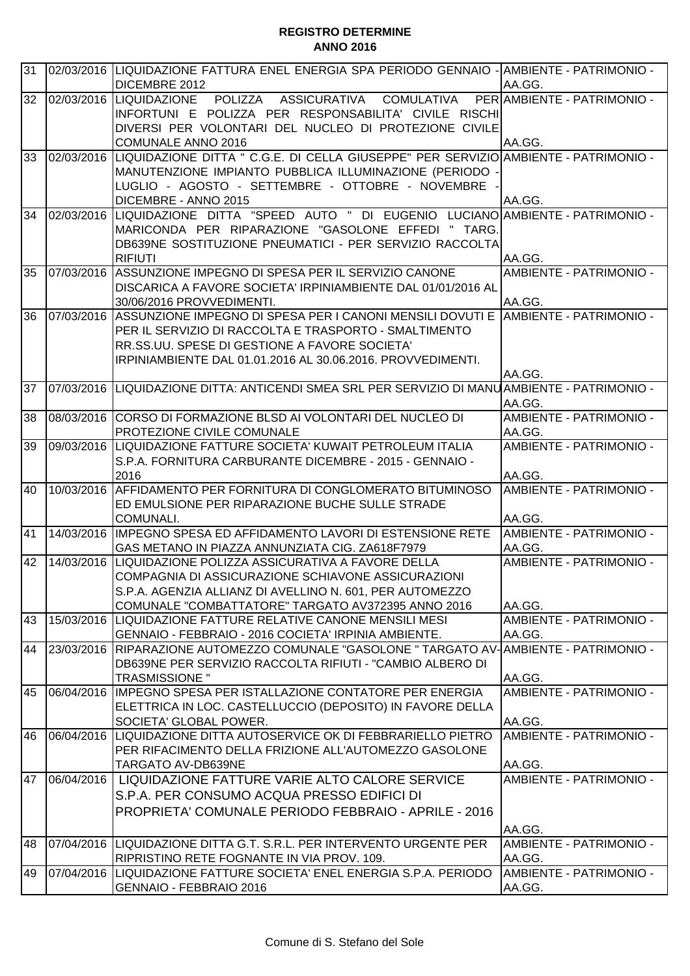| 31 |            | 02/03/2016 LIQUIDAZIONE FATTURA ENEL ENERGIA SPA PERIODO GENNAIO - AMBIENTE - PATRIMONIO -       |                                |
|----|------------|--------------------------------------------------------------------------------------------------|--------------------------------|
|    |            | <b>DICEMBRE 2012</b>                                                                             | AA.GG.                         |
|    |            | 32 02/03/2016 LIQUIDAZIONE POLIZZA ASSICURATIVA COMULATIVA                                       | PER AMBIENTE - PATRIMONIO -    |
|    |            | IINFORTUNI E POLIZZA PER RESPONSABILITA' CIVILE RISCHI                                           |                                |
|    |            | DIVERSI PER VOLONTARI DEL NUCLEO DI PROTEZIONE CIVILE                                            |                                |
|    |            | <b>COMUNALE ANNO 2016</b>                                                                        | AA.GG.                         |
| 33 |            | 02/03/2016 LIQUIDAZIONE DITTA " C.G.E. DI CELLA GIUSEPPE" PER SERVIZIO AMBIENTE - PATRIMONIO -   |                                |
|    |            | MANUTENZIONE IMPIANTO PUBBLICA ILLUMINAZIONE (PERIODO -                                          |                                |
|    |            | LUGLIO - AGOSTO - SETTEMBRE - OTTOBRE - NOVEMBRE                                                 |                                |
|    |            | DICEMBRE - ANNO 2015                                                                             | AA.GG.                         |
| 34 | 02/03/2016 | LIQUIDAZIONE DITTA "SPEED AUTO " DI EUGENIO LUCIANO AMBIENTE-PATRIMONIO-                         |                                |
|    |            | MARICONDA PER RIPARAZIONE "GASOLONE EFFEDI " TARG.                                               |                                |
|    |            | DB639NE SOSTITUZIONE PNEUMATICI - PER SERVIZIO RACCOLTA<br><b>RIFIUTI</b>                        | AA.GG.                         |
| 35 |            | 07/03/2016 ASSUNZIONE IMPEGNO DI SPESA PER IL SERVIZIO CANONE                                    | AMBIENTE - PATRIMONIO -        |
|    |            | DISCARICA A FAVORE SOCIETA' IRPINIAMBIENTE DAL 01/01/2016 AL                                     |                                |
|    |            | 30/06/2016 PROVVEDIMENTI.                                                                        | AA.GG.                         |
| 36 |            | 07/03/2016 ASSUNZIONE IMPEGNO DI SPESA PER I CANONI MENSILI DOVUTI E AMBIENTE - PATRIMONIO -     |                                |
|    |            | PER IL SERVIZIO DI RACCOLTA E TRASPORTO - SMALTIMENTO                                            |                                |
|    |            | RR.SS.UU. SPESE DI GESTIONE A FAVORE SOCIETA'                                                    |                                |
|    |            | IRPINIAMBIENTE DAL 01.01.2016 AL 30.06.2016. PROVVEDIMENTI.                                      |                                |
|    |            |                                                                                                  | AA.GG.                         |
| 37 |            | 07/03/2016   LIQUIDAZIONE DITTA: ANTICENDI SMEA SRL PER SERVIZIO DI MANU AMBIENTE - PATRIMONIO - |                                |
|    |            |                                                                                                  | AA.GG.                         |
| 38 |            | 08/03/2016 CORSO DI FORMAZIONE BLSD AI VOLONTARI DEL NUCLEO DI                                   | AMBIENTE - PATRIMONIO -        |
|    |            | <b>PROTEZIONE CIVILE COMUNALE</b>                                                                | AA.GG.                         |
| 39 |            | 09/03/2016 LIQUIDAZIONE FATTURE SOCIETA' KUWAIT PETROLEUM ITALIA                                 | AMBIENTE - PATRIMONIO -        |
|    |            | S.P.A. FORNITURA CARBURANTE DICEMBRE - 2015 - GENNAIO -                                          |                                |
| 40 |            | 2016<br>10/03/2016 AFFIDAMENTO PER FORNITURA DI CONGLOMERATO BITUMINOSO AMBIENTE - PATRIMONIO -  | AA.GG.                         |
|    |            | ED EMULSIONE PER RIPARAZIONE BUCHE SULLE STRADE                                                  |                                |
|    |            | COMUNALI.                                                                                        | AA.GG.                         |
| 41 |            | 14/03/2016 IMPEGNO SPESA ED AFFIDAMENTO LAVORI DI ESTENSIONE RETE AMBIENTE - PATRIMONIO -        |                                |
|    |            | IGAS METANO IN PIAZZA ANNUNZIATA CIG. ZA618F7979                                                 | AA.GG.                         |
| 42 |            | 14/03/2016 LIQUIDAZIONE POLIZZA ASSICURATIVA A FAVORE DELLA                                      | AMBIENTE - PATRIMONIO -        |
|    |            | COMPAGNIA DI ASSICURAZIONE SCHIAVONE ASSICURAZIONI                                               |                                |
|    |            | S.P.A. AGENZIA ALLIANZ DI AVELLINO N. 601, PER AUTOMEZZO                                         |                                |
|    |            | COMUNALE "COMBATTATORE" TARGATO AV372395 ANNO 2016                                               | AA.GG.                         |
| 43 |            | 15/03/2016 LIQUIDAZIONE FATTURE RELATIVE CANONE MENSILI MESI                                     | AMBIENTE - PATRIMONIO -        |
|    |            | GENNAIO - FEBBRAIO - 2016 COCIETA' IRPINIA AMBIENTE.                                             | AA.GG.                         |
|    |            | 44 23/03/2016 RIPARAZIONE AUTOMEZZO COMUNALE "GASOLONE " TARGATO AV-AMBIENTE - PATRIMONIO -      |                                |
|    |            | DB639NE PER SERVIZIO RACCOLTA RIFIUTI - "CAMBIO ALBERO DI                                        |                                |
|    |            | <b>TRASMISSIONE "</b>                                                                            | AA.GG.                         |
| 45 |            | 06/04/2016   IMPEGNO SPESA PER ISTALLAZIONE CONTATORE PER ENERGIA                                | <b>AMBIENTE - PATRIMONIO -</b> |
|    |            | ELETTRICA IN LOC. CASTELLUCCIO (DEPOSITO) IN FAVORE DELLA                                        |                                |
|    |            | <b>SOCIETA' GLOBAL POWER.</b>                                                                    | AA.GG.                         |
| 46 |            | 06/04/2016 LIQUIDAZIONE DITTA AUTOSERVICE OK DI FEBBRARIELLO PIETRO                              | AMBIENTE - PATRIMONIO -        |
|    |            | PER RIFACIMENTO DELLA FRIZIONE ALL'AUTOMEZZO GASOLONE                                            |                                |
|    |            | TARGATO AV-DB639NE                                                                               | AA.GG.                         |
| 47 | 06/04/2016 | LIQUIDAZIONE FATTURE VARIE ALTO CALORE SERVICE                                                   | AMBIENTE - PATRIMONIO -        |
|    |            | S.P.A. PER CONSUMO ACQUA PRESSO EDIFICI DI                                                       |                                |
|    |            | PROPRIETA' COMUNALE PERIODO FEBBRAIO - APRILE - 2016                                             |                                |
|    |            |                                                                                                  | AA.GG.                         |
| 48 |            | 07/04/2016 LIQUIDAZIONE DITTA G.T. S.R.L. PER INTERVENTO URGENTE PER                             | AMBIENTE - PATRIMONIO -        |
|    |            | RIPRISTINO RETE FOGNANTE IN VIA PROV. 109.                                                       | AA.GG.                         |
| 49 |            | 07/04/2016 LIQUIDAZIONE FATTURE SOCIETA' ENEL ENERGIA S.P.A. PERIODO                             | AMBIENTE - PATRIMONIO -        |
|    |            | GENNAIO - FEBBRAIO 2016                                                                          | AA.GG.                         |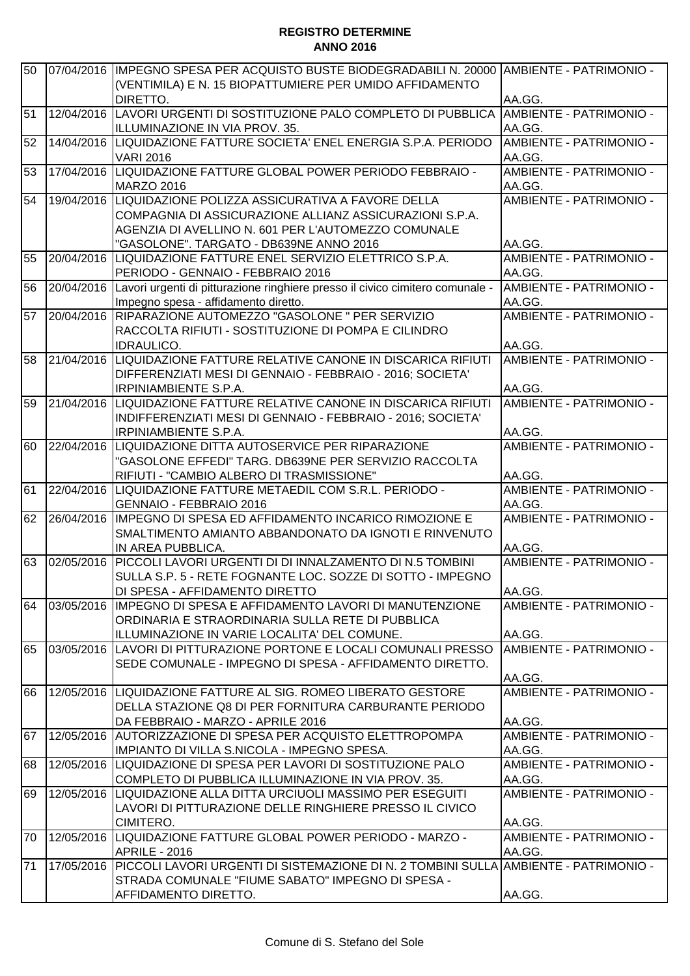| 50 | 07/04/2016 | IMPEGNO SPESA PER ACQUISTO BUSTE BIODEGRADABILI N. 20000 AMBIENTE - PATRIMONIO -<br>(VENTIMILA) E N. 15 BIOPATTUMIERE PER UMIDO AFFIDAMENTO |                                   |
|----|------------|---------------------------------------------------------------------------------------------------------------------------------------------|-----------------------------------|
|    |            | DIRETTO.                                                                                                                                    | AA.GG.                            |
| 51 |            | 12/04/2016 LAVORI URGENTI DI SOSTITUZIONE PALO COMPLETO DI PUBBLICA                                                                         | AMBIENTE - PATRIMONIO -           |
|    |            | ILLUMINAZIONE IN VIA PROV. 35.                                                                                                              | AA.GG.                            |
| 52 |            | 14/04/2016 LIQUIDAZIONE FATTURE SOCIETA' ENEL ENERGIA S.P.A. PERIODO                                                                        | AMBIENTE - PATRIMONIO -           |
|    |            | <b>VARI 2016</b>                                                                                                                            | AA.GG.                            |
| 53 | 17/04/2016 | LIQUIDAZIONE FATTURE GLOBAL POWER PERIODO FEBBRAIO -<br><b>MARZO 2016</b>                                                                   | AMBIENTE - PATRIMONIO -<br>AA.GG. |
| 54 |            | 19/04/2016 LIQUIDAZIONE POLIZZA ASSICURATIVA A FAVORE DELLA                                                                                 | AMBIENTE - PATRIMONIO -           |
|    |            | COMPAGNIA DI ASSICURAZIONE ALLIANZ ASSICURAZIONI S.P.A.                                                                                     |                                   |
|    |            | AGENZIA DI AVELLINO N. 601 PER L'AUTOMEZZO COMUNALE                                                                                         |                                   |
|    |            | "GASOLONE". TARGATO - DB639NE ANNO 2016                                                                                                     | AA.GG.                            |
| 55 | 20/04/2016 | LIQUIDAZIONE FATTURE ENEL SERVIZIO ELETTRICO S.P.A.                                                                                         | AMBIENTE - PATRIMONIO -           |
|    |            | PERIODO - GENNAIO - FEBBRAIO 2016                                                                                                           | AA.GG.                            |
| 56 |            | 20/04/2016 Lavori urgenti di pitturazione ringhiere presso il civico cimitero comunale -                                                    | AMBIENTE - PATRIMONIO -           |
|    |            | Impegno spesa - affidamento diretto.                                                                                                        | AA.GG.                            |
| 57 | 20/04/2016 | RIPARAZIONE AUTOMEZZO "GASOLONE " PER SERVIZIO                                                                                              | AMBIENTE - PATRIMONIO -           |
|    |            | RACCOLTA RIFIUTI - SOSTITUZIONE DI POMPA E CILINDRO                                                                                         |                                   |
|    |            | <b>IDRAULICO.</b>                                                                                                                           | AA.GG.                            |
| 58 |            | 21/04/2016 LIQUIDAZIONE FATTURE RELATIVE CANONE IN DISCARICA RIFIUTI                                                                        | AMBIENTE - PATRIMONIO -           |
|    |            | DIFFERENZIATI MESI DI GENNAIO - FEBBRAIO - 2016; SOCIETA'                                                                                   |                                   |
|    |            | <b>IRPINIAMBIENTE S.P.A.</b>                                                                                                                | AA.GG.                            |
| 59 | 21/04/2016 | LIQUIDAZIONE FATTURE RELATIVE CANONE IN DISCARICA RIFIUTI                                                                                   | AMBIENTE - PATRIMONIO -           |
|    |            | INDIFFERENZIATI MESI DI GENNAIO - FEBBRAIO - 2016; SOCIETA'                                                                                 |                                   |
|    |            | <b>IRPINIAMBIENTE S.P.A.</b>                                                                                                                | AA.GG.                            |
| 60 | 22/04/2016 | LIQUIDAZIONE DITTA AUTOSERVICE PER RIPARAZIONE                                                                                              | AMBIENTE - PATRIMONIO -           |
|    |            | "GASOLONE EFFEDI" TARG. DB639NE PER SERVIZIO RACCOLTA                                                                                       |                                   |
|    |            | RIFIUTI - "CAMBIO ALBERO DI TRASMISSIONE"                                                                                                   | AA.GG.                            |
| 61 | 22/04/2016 | LIQUIDAZIONE FATTURE METAEDIL COM S.R.L. PERIODO -                                                                                          | AMBIENTE - PATRIMONIO -           |
|    |            | GENNAIO - FEBBRAIO 2016                                                                                                                     | AA.GG.                            |
| 62 | 26/04/2016 | IIMPEGNO DI SPESA ED AFFIDAMENTO INCARICO RIMOZIONE E                                                                                       | AMBIENTE - PATRIMONIO -           |
|    |            | SMALTIMENTO AMIANTO ABBANDONATO DA IGNOTI E RINVENUTO                                                                                       |                                   |
|    |            | IN AREA PUBBLICA.                                                                                                                           | AA.GG.                            |
| 63 | 02/05/2016 | PICCOLI LAVORI URGENTI DI DI INNALZAMENTO DI N.5 TOMBINI                                                                                    | AMBIENTE - PATRIMONIO -           |
|    |            | SULLA S.P. 5 - RETE FOGNANTE LOC. SOZZE DI SOTTO - IMPEGNO                                                                                  |                                   |
|    |            | DI SPESA - AFFIDAMENTO DIRETTO                                                                                                              | AA.GG.                            |
| 64 | 03/05/2016 | IMPEGNO DI SPESA E AFFIDAMENTO LAVORI DI MANUTENZIONE                                                                                       | AMBIENTE - PATRIMONIO -           |
|    |            | ORDINARIA E STRAORDINARIA SULLA RETE DI PUBBLICA                                                                                            |                                   |
|    |            | ILLUMINAZIONE IN VARIE LOCALITA' DEL COMUNE.                                                                                                | AA.GG.                            |
| 65 |            | 03/05/2016 LAVORI DI PITTURAZIONE PORTONE E LOCALI COMUNALI PRESSO                                                                          | AMBIENTE - PATRIMONIO -           |
|    |            | SEDE COMUNALE - IMPEGNO DI SPESA - AFFIDAMENTO DIRETTO.                                                                                     |                                   |
|    |            |                                                                                                                                             | AA.GG.                            |
| 66 |            | 12/05/2016  LIQUIDAZIONE FATTURE AL SIG. ROMEO LIBERATO GESTORE                                                                             | AMBIENTE - PATRIMONIO -           |
|    |            | DELLA STAZIONE Q8 DI PER FORNITURA CARBURANTE PERIODO                                                                                       |                                   |
|    |            | DA FEBBRAIO - MARZO - APRILE 2016                                                                                                           | AA.GG.                            |
| 67 | 12/05/2016 | AUTORIZZAZIONE DI SPESA PER ACQUISTO ELETTROPOMPA                                                                                           | AMBIENTE - PATRIMONIO -           |
|    |            | IMPIANTO DI VILLA S.NICOLA - IMPEGNO SPESA.                                                                                                 | AA.GG.                            |
| 68 | 12/05/2016 | LIQUIDAZIONE DI SPESA PER LAVORI DI SOSTITUZIONE PALO                                                                                       | AMBIENTE - PATRIMONIO -           |
|    |            | COMPLETO DI PUBBLICA ILLUMINAZIONE IN VIA PROV. 35.                                                                                         | AA.GG.                            |
| 69 | 12/05/2016 | <b>LIQUIDAZIONE ALLA DITTA URCIUOLI MASSIMO PER ESEGUITI</b>                                                                                | AMBIENTE - PATRIMONIO -           |
|    |            | LAVORI DI PITTURAZIONE DELLE RINGHIERE PRESSO IL CIVICO                                                                                     |                                   |
|    |            | CIMITERO.                                                                                                                                   | AA.GG.                            |
| 70 |            | 12/05/2016  LIQUIDAZIONE FATTURE GLOBAL POWER PERIODO - MARZO -                                                                             | AMBIENTE - PATRIMONIO -           |
|    |            | APRILE - 2016                                                                                                                               | AA.GG.                            |
| 71 | 17/05/2016 | PICCOLI LAVORI URGENTI DI SISTEMAZIONE DI N. 2 TOMBINI SULLA AMBIENTE - PATRIMONIO -                                                        |                                   |
|    |            | STRADA COMUNALE "FIUME SABATO" IMPEGNO DI SPESA -                                                                                           |                                   |
|    |            | AFFIDAMENTO DIRETTO.                                                                                                                        | AA.GG.                            |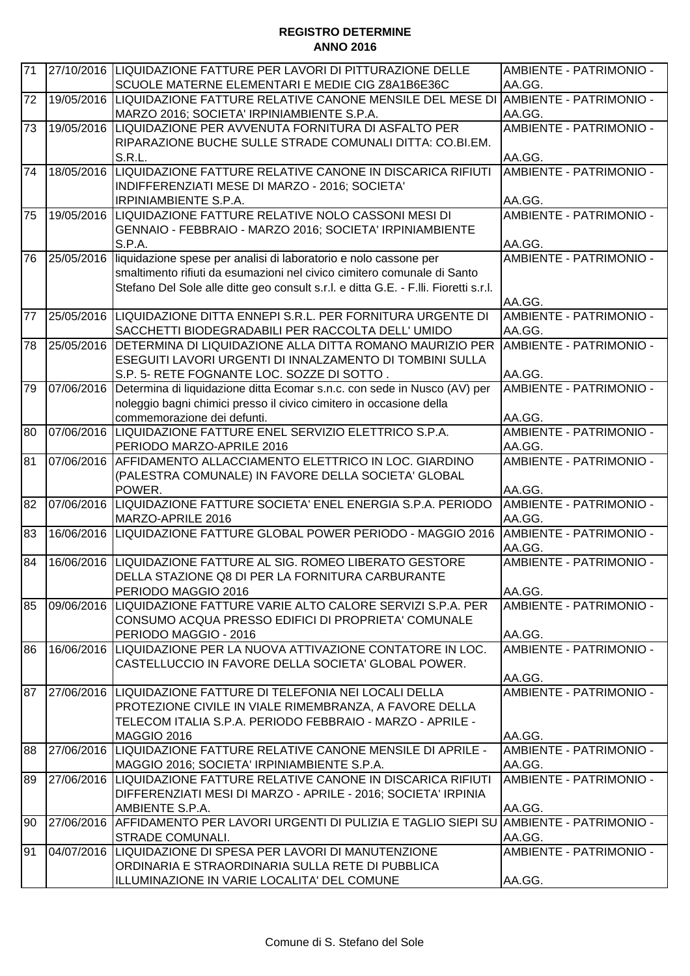| 71 |            | 27/10/2016 LIQUIDAZIONE FATTURE PER LAVORI DI PITTURAZIONE DELLE<br>SCUOLE MATERNE ELEMENTARI E MEDIE CIG Z8A1B6E36C | AMBIENTE - PATRIMONIO -<br>AA.GG. |
|----|------------|----------------------------------------------------------------------------------------------------------------------|-----------------------------------|
| 72 |            | 19/05/2016 LIQUIDAZIONE FATTURE RELATIVE CANONE MENSILE DEL MESE DI                                                  | <b>AMBIENTE - PATRIMONIO -</b>    |
|    |            |                                                                                                                      |                                   |
|    |            | MARZO 2016; SOCIETA' IRPINIAMBIENTE S.P.A.                                                                           | AA.GG.                            |
| 73 | 19/05/2016 | LIQUIDAZIONE PER AVVENUTA FORNITURA DI ASFALTO PER                                                                   | AMBIENTE - PATRIMONIO -           |
|    |            | RIPARAZIONE BUCHE SULLE STRADE COMUNALI DITTA: CO.BI.EM.                                                             |                                   |
|    |            | S.R.L.                                                                                                               | AA.GG.                            |
| 74 | 18/05/2016 | LIQUIDAZIONE FATTURE RELATIVE CANONE IN DISCARICA RIFIUTI                                                            | AMBIENTE - PATRIMONIO -           |
|    |            | INDIFFERENZIATI MESE DI MARZO - 2016; SOCIETA'                                                                       |                                   |
|    |            | <b>IRPINIAMBIENTE S.P.A.</b>                                                                                         | AA.GG.                            |
| 75 | 19/05/2016 | LIQUIDAZIONE FATTURE RELATIVE NOLO CASSONI MESI DI                                                                   | AMBIENTE - PATRIMONIO -           |
|    |            | GENNAIO - FEBBRAIO - MARZO 2016; SOCIETA' IRPINIAMBIENTE                                                             |                                   |
|    |            | S.P.A.                                                                                                               | AA.GG.                            |
| 76 | 25/05/2016 | liquidazione spese per analisi di laboratorio e nolo cassone per                                                     | AMBIENTE - PATRIMONIO -           |
|    |            | smaltimento rifiuti da esumazioni nel civico cimitero comunale di Santo                                              |                                   |
|    |            | Stefano Del Sole alle ditte geo consult s.r.l. e ditta G.E. - F.lli. Fioretti s.r.l.                                 |                                   |
|    |            |                                                                                                                      | AA.GG.                            |
| 77 |            | 25/05/2016 LIQUIDAZIONE DITTA ENNEPI S.R.L. PER FORNITURA URGENTE DI                                                 | AMBIENTE - PATRIMONIO -           |
|    |            | SACCHETTI BIODEGRADABILI PER RACCOLTA DELL' UMIDO                                                                    | AA.GG.                            |
| 78 | 25/05/2016 | DETERMINA DI LIQUIDAZIONE ALLA DITTA ROMANO MAURIZIO PER                                                             | AMBIENTE - PATRIMONIO -           |
|    |            | ESEGUITI LAVORI URGENTI DI INNALZAMENTO DI TOMBINI SULLA                                                             |                                   |
|    |            | S.P. 5- RETE FOGNANTE LOC. SOZZE DI SOTTO.                                                                           | AA.GG.                            |
| 79 | 07/06/2016 | Determina di liquidazione ditta Ecomar s.n.c. con sede in Nusco (AV) per                                             | AMBIENTE - PATRIMONIO -           |
|    |            | noleggio bagni chimici presso il civico cimitero in occasione della                                                  |                                   |
|    |            | commemorazione dei defunti.                                                                                          | AA.GG.                            |
| 80 | 07/06/2016 | LIQUIDAZIONE FATTURE ENEL SERVIZIO ELETTRICO S.P.A.                                                                  | AMBIENTE - PATRIMONIO -           |
|    |            | PERIODO MARZO-APRILE 2016                                                                                            | AA.GG.                            |
| 81 | 07/06/2016 | AFFIDAMENTO ALLACCIAMENTO ELETTRICO IN LOC. GIARDINO                                                                 | AMBIENTE - PATRIMONIO -           |
|    |            | (PALESTRA COMUNALE) IN FAVORE DELLA SOCIETA' GLOBAL                                                                  |                                   |
|    |            | POWER.                                                                                                               | AA.GG.                            |
| 82 | 07/06/2016 | LIQUIDAZIONE FATTURE SOCIETA' ENEL ENERGIA S.P.A. PERIODO                                                            | AMBIENTE - PATRIMONIO -           |
|    |            | MARZO-APRILE 2016                                                                                                    | AA.GG.                            |
| 83 | 16/06/2016 | LIQUIDAZIONE FATTURE GLOBAL POWER PERIODO - MAGGIO 2016                                                              | AMBIENTE - PATRIMONIO -           |
|    |            |                                                                                                                      | AA.GG.                            |
| 84 | 16/06/2016 | LIQUIDAZIONE FATTURE AL SIG. ROMEO LIBERATO GESTORE                                                                  | AMBIENTE - PATRIMONIO -           |
|    |            | DELLA STAZIONE Q8 DI PER LA FORNITURA CARBURANTE                                                                     |                                   |
|    |            | PERIODO MAGGIO 2016                                                                                                  | AA.GG.                            |
| 85 | 09/06/2016 | LIQUIDAZIONE FATTURE VARIE ALTO CALORE SERVIZI S.P.A. PER                                                            | AMBIENTE - PATRIMONIO -           |
|    |            | CONSUMO ACQUA PRESSO EDIFICI DI PROPRIETA' COMUNALE                                                                  |                                   |
|    |            | PERIODO MAGGIO - 2016                                                                                                | AA.GG.                            |
| 86 | 16/06/2016 | LIQUIDAZIONE PER LA NUOVA ATTIVAZIONE CONTATORE IN LOC.                                                              | AMBIENTE - PATRIMONIO -           |
|    |            | CASTELLUCCIO IN FAVORE DELLA SOCIETA' GLOBAL POWER.                                                                  |                                   |
|    |            |                                                                                                                      | AA.GG.                            |
| 87 |            | 27/06/2016 LIQUIDAZIONE FATTURE DI TELEFONIA NEI LOCALI DELLA                                                        | AMBIENTE - PATRIMONIO -           |
|    |            | PROTEZIONE CIVILE IN VIALE RIMEMBRANZA, A FAVORE DELLA                                                               |                                   |
|    |            | TELECOM ITALIA S.P.A. PERIODO FEBBRAIO - MARZO - APRILE -                                                            |                                   |
|    |            | <b>MAGGIO 2016</b>                                                                                                   | AA.GG.                            |
| 88 | 27/06/2016 | LIQUIDAZIONE FATTURE RELATIVE CANONE MENSILE DI APRILE -                                                             | AMBIENTE - PATRIMONIO -           |
|    |            | MAGGIO 2016; SOCIETA' IRPINIAMBIENTE S.P.A.                                                                          | AA.GG.                            |
| 89 |            | 27/06/2016 LIQUIDAZIONE FATTURE RELATIVE CANONE IN DISCARICA RIFIUTI                                                 | <b>AMBIENTE - PATRIMONIO -</b>    |
|    |            | DIFFERENZIATI MESI DI MARZO - APRILE - 2016; SOCIETA' IRPINIA                                                        |                                   |
|    |            | AMBIENTE S.P.A.                                                                                                      | AA.GG.                            |
| 90 |            | 27/06/2016 AFFIDAMENTO PER LAVORI URGENTI DI PULIZIA E TAGLIO SIEPI SU                                               | AMBIENTE - PATRIMONIO -           |
|    |            | STRADE COMUNALI.                                                                                                     | AA.GG.                            |
| 91 |            | 04/07/2016 LIQUIDAZIONE DI SPESA PER LAVORI DI MANUTENZIONE                                                          | AMBIENTE - PATRIMONIO -           |
|    |            | ORDINARIA E STRAORDINARIA SULLA RETE DI PUBBLICA                                                                     |                                   |
|    |            | ILLUMINAZIONE IN VARIE LOCALITA' DEL COMUNE                                                                          | AA.GG.                            |
|    |            |                                                                                                                      |                                   |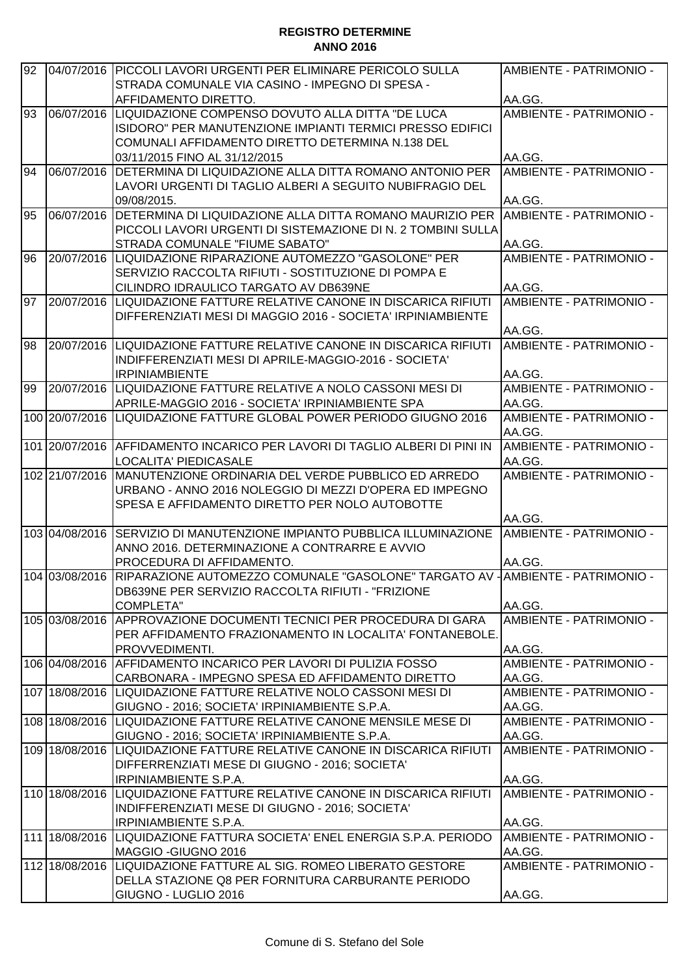| 92 | 04/07/2016     | PICCOLI LAVORI URGENTI PER ELIMINARE PERICOLO SULLA<br>STRADA COMUNALE VIA CASINO - IMPEGNO DI SPESA - | AMBIENTE - PATRIMONIO -        |
|----|----------------|--------------------------------------------------------------------------------------------------------|--------------------------------|
|    |                |                                                                                                        |                                |
|    |                | AFFIDAMENTO DIRETTO.                                                                                   | AA.GG.                         |
| 93 | 06/07/2016     | LIQUIDAZIONE COMPENSO DOVUTO ALLA DITTA "DE LUCA                                                       | AMBIENTE - PATRIMONIO -        |
|    |                | ISIDORO" PER MANUTENZIONE IMPIANTI TERMICI PRESSO EDIFICI                                              |                                |
|    |                | COMUNALI AFFIDAMENTO DIRETTO DETERMINA N.138 DEL                                                       |                                |
|    |                | 03/11/2015 FINO AL 31/12/2015                                                                          | AA.GG.                         |
| 94 | 06/07/2016     | DETERMINA DI LIQUIDAZIONE ALLA DITTA ROMANO ANTONIO PER                                                | AMBIENTE - PATRIMONIO -        |
|    |                | LAVORI URGENTI DI TAGLIO ALBERI A SEGUITO NUBIFRAGIO DEL                                               |                                |
|    |                | 09/08/2015.                                                                                            | AA.GG.                         |
| 95 | 06/07/2016     | DETERMINA DI LIQUIDAZIONE ALLA DITTA ROMANO MAURIZIO PER                                               | IAMBIENTE - PATRIMONIO -       |
|    |                | PICCOLI LAVORI URGENTI DI SISTEMAZIONE DI N. 2 TOMBINI SULLA                                           |                                |
|    |                | STRADA COMUNALE "FIUME SABATO"                                                                         | AA.GG.                         |
| 96 | 20/07/2016     | LIQUIDAZIONE RIPARAZIONE AUTOMEZZO "GASOLONE" PER                                                      | AMBIENTE - PATRIMONIO -        |
|    |                | SERVIZIO RACCOLTA RIFIUTI - SOSTITUZIONE DI POMPA E                                                    |                                |
|    |                | CILINDRO IDRAULICO TARGATO AV DB639NE                                                                  | AA.GG.                         |
| 97 |                | 20/07/2016 LIQUIDAZIONE FATTURE RELATIVE CANONE IN DISCARICA RIFIUTI                                   | AMBIENTE - PATRIMONIO -        |
|    |                | DIFFERENZIATI MESI DI MAGGIO 2016 - SOCIETA' IRPINIAMBIENTE                                            |                                |
|    |                |                                                                                                        | AA.GG.                         |
| 98 |                | 20/07/2016 LIQUIDAZIONE FATTURE RELATIVE CANONE IN DISCARICA RIFIUTI                                   | AMBIENTE - PATRIMONIO -        |
|    |                | INDIFFERENZIATI MESI DI APRILE-MAGGIO-2016 - SOCIETA'                                                  |                                |
|    |                | <b>IRPINIAMBIENTE</b>                                                                                  | AA.GG.                         |
| 99 | 20/07/2016     | ILIQUIDAZIONE FATTURE RELATIVE A NOLO CASSONI MESI DI                                                  | AMBIENTE - PATRIMONIO -        |
|    |                | APRILE-MAGGIO 2016 - SOCIETA' IRPINIAMBIENTE SPA                                                       | AA.GG.                         |
|    |                | 100 20/07/2016 LIQUIDAZIONE FATTURE GLOBAL POWER PERIODO GIUGNO 2016                                   | <b>AMBIENTE - PATRIMONIO -</b> |
|    |                |                                                                                                        | AA.GG.                         |
|    |                |                                                                                                        |                                |
|    |                | 101 20/07/2016 AFFIDAMENTO INCARICO PER LAVORI DI TAGLIO ALBERI DI PINI IN                             | AMBIENTE - PATRIMONIO -        |
|    |                | LOCALITA' PIEDICASALE                                                                                  | AA.GG.                         |
|    | 102 21/07/2016 | MANUTENZIONE ORDINARIA DEL VERDE PUBBLICO ED ARREDO                                                    | AMBIENTE - PATRIMONIO -        |
|    |                | URBANO - ANNO 2016 NOLEGGIO DI MEZZI D'OPERA ED IMPEGNO                                                |                                |
|    |                | SPESA E AFFIDAMENTO DIRETTO PER NOLO AUTOBOTTE                                                         |                                |
|    |                |                                                                                                        | AA.GG.                         |
|    | 103 04/08/2016 | SERVIZIO DI MANUTENZIONE IMPIANTO PUBBLICA ILLUMINAZIONE                                               | AMBIENTE - PATRIMONIO -        |
|    |                | ANNO 2016. DETERMINAZIONE A CONTRARRE E AVVIO                                                          |                                |
|    |                | PROCEDURA DI AFFIDAMENTO.                                                                              | AA.GG.                         |
|    |                | 104 03/08/2016 RIPARAZIONE AUTOMEZZO COMUNALE "GASOLONE" TARGATO AV - AMBIENTE - PATRIMONIO -          |                                |
|    |                | DB639NE PER SERVIZIO RACCOLTA RIFIUTI - "FRIZIONE                                                      |                                |
|    |                | <b>COMPLETA"</b>                                                                                       | AA.GG.                         |
|    | 105 03/08/2016 | APPROVAZIONE DOCUMENTI TECNICI PER PROCEDURA DI GARA                                                   | AMBIENTE - PATRIMONIO -        |
|    |                | PER AFFIDAMENTO FRAZIONAMENTO IN LOCALITA' FONTANEBOLE.                                                |                                |
|    |                | PROVVEDIMENTI.                                                                                         | AA.GG.                         |
|    | 106 04/08/2016 | AFFIDAMENTO INCARICO PER LAVORI DI PULIZIA FOSSO                                                       | AMBIENTE - PATRIMONIO -        |
|    |                | CARBONARA - IMPEGNO SPESA ED AFFIDAMENTO DIRETTO                                                       | AA.GG.                         |
|    |                | 107 18/08/2016 LIQUIDAZIONE FATTURE RELATIVE NOLO CASSONI MESI DI                                      | AMBIENTE - PATRIMONIO -        |
|    |                | GIUGNO - 2016; SOCIETA' IRPINIAMBIENTE S.P.A.                                                          | AA.GG.                         |
|    |                | 108 18/08/2016 LIQUIDAZIONE FATTURE RELATIVE CANONE MENSILE MESE DI                                    | AMBIENTE - PATRIMONIO -        |
|    |                | GIUGNO - 2016; SOCIETA' IRPINIAMBIENTE S.P.A.                                                          | AA.GG.                         |
|    |                | 109 18/08/2016 LIQUIDAZIONE FATTURE RELATIVE CANONE IN DISCARICA RIFIUTI                               | AMBIENTE - PATRIMONIO -        |
|    |                | DIFFERRENZIATI MESE DI GIUGNO - 2016; SOCIETA'                                                         |                                |
|    |                | <b>IRPINIAMBIENTE S.P.A.</b>                                                                           | AA.GG.                         |
|    | 110 18/08/2016 | LIQUIDAZIONE FATTURE RELATIVE CANONE IN DISCARICA RIFIUTI                                              | AMBIENTE - PATRIMONIO -        |
|    |                |                                                                                                        |                                |
|    |                | INDIFFERENZIATI MESE DI GIUGNO - 2016; SOCIETA'                                                        |                                |
|    |                | <b>IRPINIAMBIENTE S.P.A.</b>                                                                           | AA.GG.                         |
|    |                | 111 18/08/2016 LIQUIDAZIONE FATTURA SOCIETA' ENEL ENERGIA S.P.A. PERIODO                               | <b>AMBIENTE - PATRIMONIO -</b> |
|    |                | MAGGIO -GIUGNO 2016                                                                                    | AA.GG.                         |
|    |                | 112 18/08/2016 LIQUIDAZIONE FATTURE AL SIG. ROMEO LIBERATO GESTORE                                     | AMBIENTE - PATRIMONIO -        |
|    |                | DELLA STAZIONE Q8 PER FORNITURA CARBURANTE PERIODO                                                     |                                |
|    |                | GIUGNO - LUGLIO 2016                                                                                   | AA.GG.                         |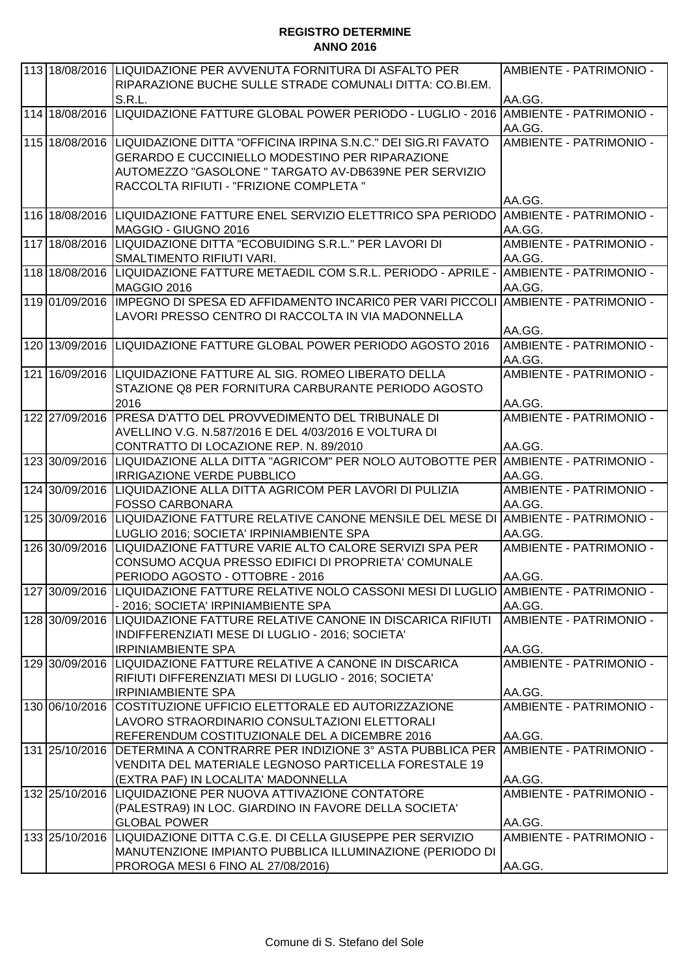| 113 18/08/2016 | LIQUIDAZIONE PER AVVENUTA FORNITURA DI ASFALTO PER<br>RIPARAZIONE BUCHE SULLE STRADE COMUNALI DITTA: CO.BI.EM.                                                                                                                             | AMBIENTE - PATRIMONIO -                            |
|----------------|--------------------------------------------------------------------------------------------------------------------------------------------------------------------------------------------------------------------------------------------|----------------------------------------------------|
|                | <b>S.R.L.</b>                                                                                                                                                                                                                              | AA.GG.                                             |
| 114 18/08/2016 | LIQUIDAZIONE FATTURE GLOBAL POWER PERIODO - LUGLIO - 2016  AMBIENTE - PATRIMONIO -                                                                                                                                                         | AA.GG.                                             |
|                | 115 18/08/2016 LIQUIDAZIONE DITTA "OFFICINA IRPINA S.N.C." DEI SIG.RI FAVATO<br><b>GERARDO E CUCCINIELLO MODESTINO PER RIPARAZIONE</b><br>AUTOMEZZO "GASOLONE " TARGATO AV-DB639NE PER SERVIZIO<br>RACCOLTA RIFIUTI - "FRIZIONE COMPLETA " | AMBIENTE - PATRIMONIO -<br>AA.GG.                  |
|                | 116 18/08/2016 LIQUIDAZIONE FATTURE ENEL SERVIZIO ELETTRICO SPA PERIODO<br>MAGGIO - GIUGNO 2016                                                                                                                                            | <b>AMBIENTE - PATRIMONIO -</b><br>AA.GG.           |
|                | 117 18/08/2016 LIQUIDAZIONE DITTA "ECOBUIDING S.R.L." PER LAVORI DI<br>SMALTIMENTO RIFIUTI VARI.                                                                                                                                           | AMBIENTE - PATRIMONIO -<br>AA.GG.                  |
|                | 118 18/08/2016 LIQUIDAZIONE FATTURE METAEDIL COM S.R.L. PERIODO - APRILE - AMBIENTE - PATRIMONIO -<br>MAGGIO 2016                                                                                                                          | AA.GG.                                             |
| 119 01/09/2016 | IMPEGNO DI SPESA ED AFFIDAMENTO INCARICO PER VARI PICCOLI AMBIENTE - PATRIMONIO -<br>LAVORI PRESSO CENTRO DI RACCOLTA IN VIA MADONNELLA                                                                                                    | AA.GG.                                             |
|                | 120 13/09/2016 LIQUIDAZIONE FATTURE GLOBAL POWER PERIODO AGOSTO 2016                                                                                                                                                                       | AMBIENTE - PATRIMONIO -<br>AA.GG.                  |
|                | 121 16/09/2016  LIQUIDAZIONE FATTURE AL SIG. ROMEO LIBERATO DELLA<br>STAZIONE Q8 PER FORNITURA CARBURANTE PERIODO AGOSTO<br>2016                                                                                                           | AMBIENTE - PATRIMONIO -<br>AA.GG.                  |
| 122 27/09/2016 | IPRESA D'ATTO DEL PROVVEDIMENTO DEL TRIBUNALE DI<br>AVELLINO V.G. N.587/2016 E DEL 4/03/2016 E VOLTURA DI<br>CONTRATTO DI LOCAZIONE REP. N. 89/2010                                                                                        | AMBIENTE - PATRIMONIO -<br>AA.GG.                  |
| 123 30/09/2016 | LIQUIDAZIONE ALLA DITTA "AGRICOM" PER NOLO AUTOBOTTE PER AMBIENTE - PATRIMONIO -<br><b>IRRIGAZIONE VERDE PUBBLICO</b>                                                                                                                      | AA.GG.                                             |
|                | 124 30/09/2016 LIQUIDAZIONE ALLA DITTA AGRICOM PER LAVORI DI PULIZIA<br><b>FOSSO CARBONARA</b>                                                                                                                                             | AMBIENTE - PATRIMONIO -<br>AA.GG.                  |
| 125 30/09/2016 | LIQUIDAZIONE FATTURE RELATIVE CANONE MENSILE DEL MESE DI AMBIENTE - PATRIMONIO -<br>LUGLIO 2016; SOCIETA' IRPINIAMBIENTE SPA                                                                                                               | AA.GG.                                             |
| 126 30/09/2016 | LIQUIDAZIONE FATTURE VARIE ALTO CALORE SERVIZI SPA PER<br>CONSUMO ACQUA PRESSO EDIFICI DI PROPRIETA' COMUNALE<br>PERIODO AGOSTO - OTTOBRE - 2016                                                                                           | AMBIENTE - PATRIMONIO -<br>AA.GG.                  |
|                | 127 30/09/2016 LIQUIDAZIONE FATTURE RELATIVE NOLO CASSONI MESI DI LUGLIO AMBIENTE - PATRIMONIO -<br>- 2016; SOCIETA' IRPINIAMBIENTE SPA                                                                                                    | AA.GG.                                             |
|                | 128 30/09/2016 LIQUIDAZIONE FATTURE RELATIVE CANONE IN DISCARICA RIFIUTI<br>INDIFFERENZIATI MESE DI LUGLIO - 2016; SOCIETA'<br><b>IRPINIAMBIENTE SPA</b>                                                                                   | AMBIENTE - PATRIMONIO -<br>AA.GG.                  |
|                | 129 30/09/2016 LIQUIDAZIONE FATTURE RELATIVE A CANONE IN DISCARICA<br>RIFIUTI DIFFERENZIATI MESI DI LUGLIO - 2016; SOCIETA'<br><b>IRPINIAMBIENTE SPA</b>                                                                                   | AMBIENTE - PATRIMONIO -<br>AA.GG.                  |
| 130 06/10/2016 | COSTITUZIONE UFFICIO ELETTORALE ED AUTORIZZAZIONE<br>LAVORO STRAORDINARIO CONSULTAZIONI ELETTORALI                                                                                                                                         | AMBIENTE - PATRIMONIO -                            |
| 131 25/10/2016 | REFERENDUM COSTITUZIONALE DEL A DICEMBRE 2016<br>DETERMINA A CONTRARRE PER INDIZIONE 3° ASTA PUBBLICA PER<br>VENDITA DEL MATERIALE LEGNOSO PARTICELLA FORESTALE 19<br>(EXTRA PAF) IN LOCALITA' MADONNELLA                                  | AA.GG.<br><b>AMBIENTE - PATRIMONIO -</b><br>AA.GG. |
|                | 132 25/10/2016 LIQUIDAZIONE PER NUOVA ATTIVAZIONE CONTATORE<br>(PALESTRA9) IN LOC. GIARDINO IN FAVORE DELLA SOCIETA'<br><b>GLOBAL POWER</b>                                                                                                | AMBIENTE - PATRIMONIO -<br>AA.GG.                  |
|                | 133 25/10/2016 LIQUIDAZIONE DITTA C.G.E. DI CELLA GIUSEPPE PER SERVIZIO<br>MANUTENZIONE IMPIANTO PUBBLICA ILLUMINAZIONE (PERIODO DI                                                                                                        | AMBIENTE - PATRIMONIO -                            |
|                | PROROGA MESI 6 FINO AL 27/08/2016)                                                                                                                                                                                                         | AA.GG.                                             |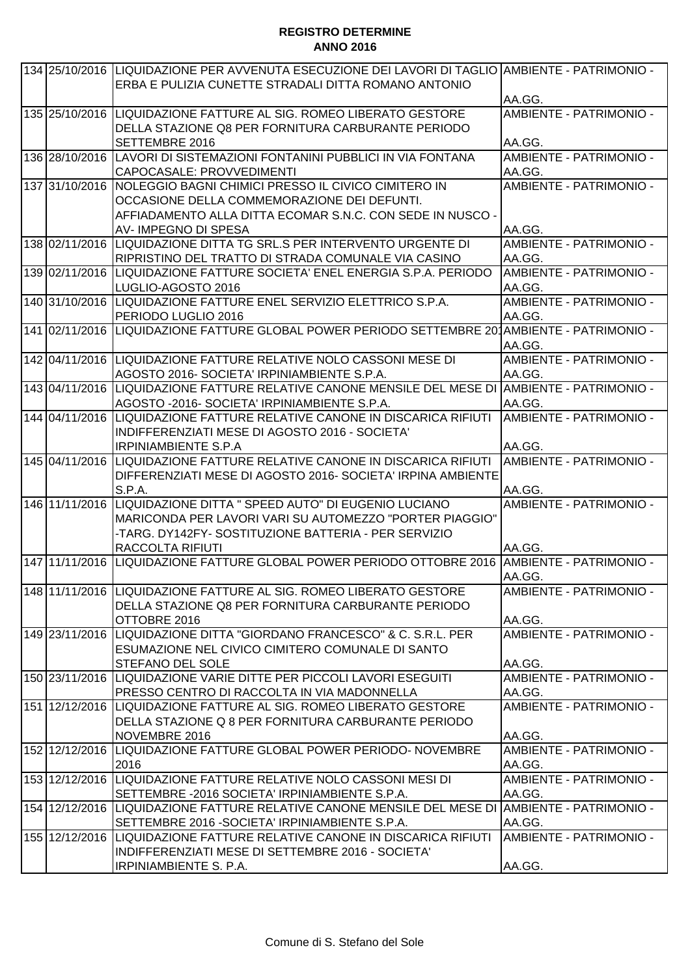| 134 25/10/2016 | LIQUIDAZIONE PER AVVENUTA ESECUZIONE DEI LAVORI DI TAGLIO AMBIENTE - PATRIMONIO -<br>ERBA E PULIZIA CUNETTE STRADALI DITTA ROMANO ANTONIO |                                |
|----------------|-------------------------------------------------------------------------------------------------------------------------------------------|--------------------------------|
|                |                                                                                                                                           | AA.GG.                         |
|                | 135 25/10/2016 LIQUIDAZIONE FATTURE AL SIG. ROMEO LIBERATO GESTORE                                                                        | AMBIENTE - PATRIMONIO -        |
|                | DELLA STAZIONE Q8 PER FORNITURA CARBURANTE PERIODO                                                                                        |                                |
|                | <b>SETTEMBRE 2016</b>                                                                                                                     | AA.GG.                         |
| 136 28/10/2016 | LAVORI DI SISTEMAZIONI FONTANINI PUBBLICI IN VIA FONTANA                                                                                  | <b>AMBIENTE - PATRIMONIO -</b> |
|                | CAPOCASALE: PROVVEDIMENTI                                                                                                                 | AA.GG.                         |
| 137 31/10/2016 | <b>INOLEGGIO BAGNI CHIMICI PRESSO IL CIVICO CIMITERO IN</b>                                                                               | AMBIENTE - PATRIMONIO -        |
|                | OCCASIONE DELLA COMMEMORAZIONE DEI DEFUNTI.                                                                                               |                                |
|                | AFFIADAMENTO ALLA DITTA ECOMAR S.N.C. CON SEDE IN NUSCO -                                                                                 |                                |
|                | AV-IMPEGNO DI SPESA                                                                                                                       | AA.GG.                         |
| 138 02/11/2016 | LIQUIDAZIONE DITTA TG SRL.S PER INTERVENTO URGENTE DI                                                                                     | AMBIENTE - PATRIMONIO -        |
|                | RIPRISTINO DEL TRATTO DI STRADA COMUNALE VIA CASINO                                                                                       | AA.GG.                         |
|                | 139 02/11/2016 LIQUIDAZIONE FATTURE SOCIETA' ENEL ENERGIA S.P.A. PERIODO                                                                  | AMBIENTE - PATRIMONIO -        |
|                | LUGLIO-AGOSTO 2016                                                                                                                        | AA.GG.                         |
|                | 140 31/10/2016 LIQUIDAZIONE FATTURE ENEL SERVIZIO ELETTRICO S.P.A.                                                                        | AMBIENTE - PATRIMONIO -        |
|                | PERIODO LUGLIO 2016                                                                                                                       | AA.GG.                         |
|                | 141 02/11/2016 LIQUIDAZIONE FATTURE GLOBAL POWER PERIODO SETTEMBRE 201AMBIENTE - PATRIMONIO -                                             |                                |
|                |                                                                                                                                           | AA.GG.                         |
|                | 142 04/11/2016 LIQUIDAZIONE FATTURE RELATIVE NOLO CASSONI MESE DI                                                                         | AMBIENTE - PATRIMONIO -        |
|                | AGOSTO 2016- SOCIETA' IRPINIAMBIENTE S.P.A.                                                                                               | AA.GG.                         |
| 143 04/11/2016 | LIQUIDAZIONE FATTURE RELATIVE CANONE MENSILE DEL MESE DI AMBIENTE - PATRIMONIO -                                                          |                                |
|                | AGOSTO -2016- SOCIETA' IRPINIAMBIENTE S.P.A.                                                                                              | AA.GG.                         |
| 144 04/11/2016 | ILIQUIDAZIONE FATTURE RELATIVE CANONE IN DISCARICA RIFIUTI                                                                                | AMBIENTE - PATRIMONIO -        |
|                | INDIFFERENZIATI MESE DI AGOSTO 2016 - SOCIETA'                                                                                            |                                |
|                | <b>IRPINIAMBIENTE S.P.A</b>                                                                                                               | AA.GG.                         |
|                | 145 04/11/2016 LIQUIDAZIONE FATTURE RELATIVE CANONE IN DISCARICA RIFIUTI                                                                  | AMBIENTE - PATRIMONIO -        |
|                | DIFFERENZIATI MESE DI AGOSTO 2016- SOCIETA' IRPINA AMBIENTE                                                                               |                                |
|                | <b>S.P.A.</b>                                                                                                                             | AA.GG.                         |
|                | 146 11/11/2016 LIQUIDAZIONE DITTA " SPEED AUTO" DI EUGENIO LUCIANO                                                                        | AMBIENTE - PATRIMONIO -        |
|                | MARICONDA PER LAVORI VARI SU AUTOMEZZO "PORTER PIAGGIO"<br>-TARG. DY142FY- SOSTITUZIONE BATTERIA - PER SERVIZIO                           |                                |
|                | <b>RACCOLTA RIFIUTI</b>                                                                                                                   | AA.GG.                         |
| 147 11/11/2016 | LIQUIDAZIONE FATTURE GLOBAL POWER PERIODO OTTOBRE 2016 AMBIENTE - PATRIMONIO -                                                            |                                |
|                |                                                                                                                                           | AA.GG.                         |
|                | 148 11/11/2016 LIQUIDAZIONE FATTURE AL SIG. ROMEO LIBERATO GESTORE                                                                        | AMBIENTE - PATRIMONIO -        |
|                | DELLA STAZIONE Q8 PER FORNITURA CARBURANTE PERIODO                                                                                        |                                |
|                | OTTOBRE 2016                                                                                                                              | AA.GG.                         |
|                | 149 23/11/2016 LIQUIDAZIONE DITTA "GIORDANO FRANCESCO" & C. S.R.L. PER                                                                    | AMBIENTE - PATRIMONIO -        |
|                | ESUMAZIONE NEL CIVICO CIMITERO COMUNALE DI SANTO                                                                                          |                                |
|                | <b>STEFANO DEL SOLE</b>                                                                                                                   | AA.GG.                         |
|                | 150 23/11/2016 LIQUIDAZIONE VARIE DITTE PER PICCOLI LAVORI ESEGUITI                                                                       | AMBIENTE - PATRIMONIO -        |
|                | PRESSO CENTRO DI RACCOLTA IN VIA MADONNELLA                                                                                               | AA.GG.                         |
|                | 151 12/12/2016 LIQUIDAZIONE FATTURE AL SIG. ROMEO LIBERATO GESTORE                                                                        | AMBIENTE - PATRIMONIO -        |
|                | DELLA STAZIONE Q 8 PER FORNITURA CARBURANTE PERIODO                                                                                       |                                |
|                | NOVEMBRE 2016                                                                                                                             | AA.GG.                         |
| 152 12/12/2016 | LIQUIDAZIONE FATTURE GLOBAL POWER PERIODO- NOVEMBRE                                                                                       | AMBIENTE - PATRIMONIO -        |
|                | 2016                                                                                                                                      | AA.GG.                         |
|                | 153 12/12/2016 LIQUIDAZIONE FATTURE RELATIVE NOLO CASSONI MESI DI                                                                         | AMBIENTE - PATRIMONIO -        |
|                | SETTEMBRE - 2016 SOCIETA' IRPINIAMBIENTE S.P.A.                                                                                           | AA.GG.                         |
|                | 154 12/12/2016 LIQUIDAZIONE FATTURE RELATIVE CANONE MENSILE DEL MESE DI AMBIENTE - PATRIMONIO -                                           |                                |
|                | SETTEMBRE 2016 - SOCIETA' IRPINIAMBIENTE S.P.A.                                                                                           | AA.GG.                         |
|                | 155 12/12/2016 LIQUIDAZIONE FATTURE RELATIVE CANONE IN DISCARICA RIFIUTI                                                                  | AMBIENTE - PATRIMONIO -        |
|                | INDIFFERENZIATI MESE DI SETTEMBRE 2016 - SOCIETA'                                                                                         |                                |
|                | IRPINIAMBIENTE S. P.A.                                                                                                                    | AA.GG.                         |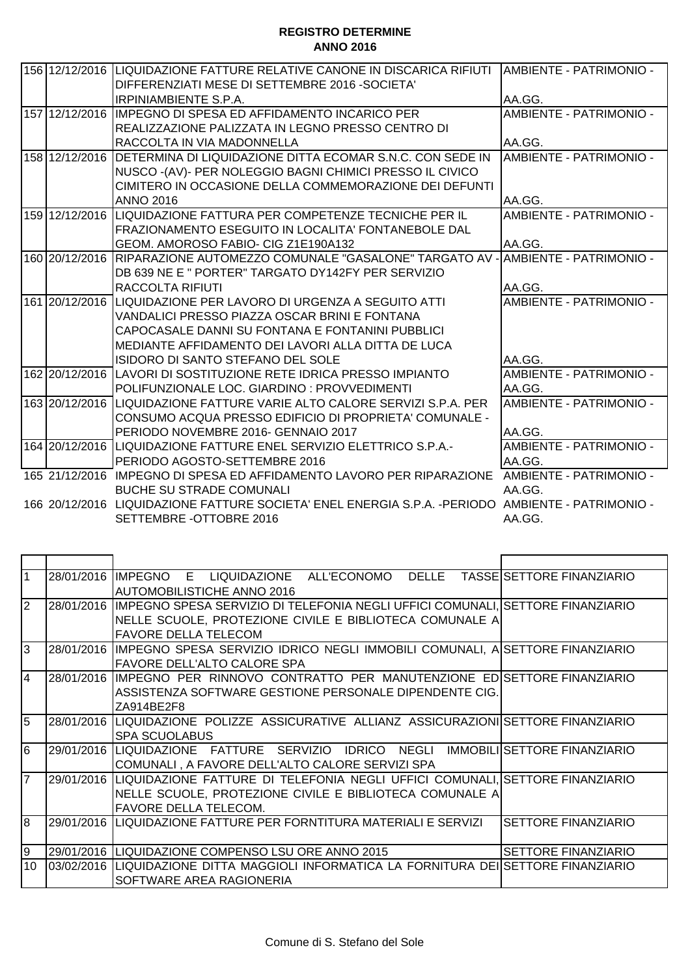|                |                                                                                                   | AMBIENTE - PATRIMONIO -        |
|----------------|---------------------------------------------------------------------------------------------------|--------------------------------|
|                | DIFFERENZIATI MESE DI SETTEMBRE 2016 - SOCIETA'                                                   |                                |
|                | <b>IRPINIAMBIENTE S.P.A.</b>                                                                      | AA.GG.                         |
| 157 12/12/2016 | IMPEGNO DI SPESA ED AFFIDAMENTO INCARICO PER                                                      | AMBIENTE - PATRIMONIO -        |
|                | REALIZZAZIONE PALIZZATA IN LEGNO PRESSO CENTRO DI                                                 |                                |
|                | RACCOLTA IN VIA MADONNELLA                                                                        | AA.GG.                         |
| 158 12/12/2016 | IDETERMINA DI LIQUIDAZIONE DITTA ECOMAR S.N.C. CON SEDE IN                                        | AMBIENTE - PATRIMONIO -        |
|                | NUSCO - (AV) - PER NOLEGGIO BAGNI CHIMICI PRESSO IL CIVICO                                        |                                |
|                | CIMITERO IN OCCASIONE DELLA COMMEMORAZIONE DEI DEFUNTI                                            |                                |
|                | <b>ANNO 2016</b>                                                                                  | AA.GG.                         |
| 159 12/12/2016 | LIQUIDAZIONE FATTURA PER COMPETENZE TECNICHE PER IL                                               | AMBIENTE - PATRIMONIO -        |
|                | FRAZIONAMENTO ESEGUITO IN LOCALITA' FONTANEBOLE DAL                                               |                                |
|                | GEOM. AMOROSO FABIO- CIG Z1E190A132                                                               | AA.GG.                         |
| 160 20/12/2016 | RIPARAZIONE AUTOMEZZO COMUNALE "GASALONE" TARGATO AV -                                            | <b>AMBIENTE - PATRIMONIO -</b> |
|                | DB 639 NE E " PORTER" TARGATO DY142FY PER SERVIZIO                                                |                                |
|                | RACCOLTA RIFIUTI                                                                                  | AA.GG.                         |
| 161 20/12/2016 | ILIQUIDAZIONE PER LAVORO DI URGENZA A SEGUITO ATTI                                                | AMBIENTE - PATRIMONIO -        |
|                | VANDALICI PRESSO PIAZZA OSCAR BRINI E FONTANA                                                     |                                |
|                | CAPOCASALE DANNI SU FONTANA E FONTANINI PUBBLICI                                                  |                                |
|                | MEDIANTE AFFIDAMENTO DEI LAVORI ALLA DITTA DE LUCA                                                |                                |
|                | <b>ISIDORO DI SANTO STEFANO DEL SOLE</b>                                                          | AA.GG.                         |
|                | 162 20/12/2016 LAVORI DI SOSTITUZIONE RETE IDRICA PRESSO IMPIANTO                                 | AMBIENTE - PATRIMONIO -        |
|                | POLIFUNZIONALE LOC. GIARDINO : PROVVEDIMENTI                                                      | AA.GG.                         |
| 163 20/12/2016 | LIQUIDAZIONE FATTURE VARIE ALTO CALORE SERVIZI S.P.A. PER                                         | AMBIENTE - PATRIMONIO -        |
|                | CONSUMO ACQUA PRESSO EDIFICIO DI PROPRIETA' COMUNALE -                                            |                                |
|                | PERIODO NOVEMBRE 2016- GENNAIO 2017                                                               | AA.GG.                         |
|                | 164 20/12/2016 LIQUIDAZIONE FATTURE ENEL SERVIZIO ELETTRICO S.P.A.-                               | AMBIENTE - PATRIMONIO -        |
|                | PERIODO AGOSTO-SETTEMBRE 2016                                                                     | AA.GG.                         |
|                | 165 21/12/2016 IMPEGNO DI SPESA ED AFFIDAMENTO LAVORO PER RIPARAZIONE AMBIENTE - PATRIMONIO -     |                                |
|                | <b>BUCHE SU STRADE COMUNALI</b>                                                                   | AA.GG.                         |
|                | 166 20/12/2016 LIQUIDAZIONE FATTURE SOCIETA' ENEL ENERGIA S.P.A. -PERIODO AMBIENTE - PATRIMONIO - |                                |
|                | SETTEMBRE - OTTOBRE 2016                                                                          | AA.GG.                         |

| AUTOMOBILISTICHE ANNO 2016                              |                                                                                                                                                                                                                                                                                                                                                                                                                                                                                                                                                                                                                                                                                                                                                                                                                                                                                                                            |
|---------------------------------------------------------|----------------------------------------------------------------------------------------------------------------------------------------------------------------------------------------------------------------------------------------------------------------------------------------------------------------------------------------------------------------------------------------------------------------------------------------------------------------------------------------------------------------------------------------------------------------------------------------------------------------------------------------------------------------------------------------------------------------------------------------------------------------------------------------------------------------------------------------------------------------------------------------------------------------------------|
|                                                         |                                                                                                                                                                                                                                                                                                                                                                                                                                                                                                                                                                                                                                                                                                                                                                                                                                                                                                                            |
| NELLE SCUOLE, PROTEZIONE CIVILE E BIBLIOTECA COMUNALE A |                                                                                                                                                                                                                                                                                                                                                                                                                                                                                                                                                                                                                                                                                                                                                                                                                                                                                                                            |
| <b>FAVORE DELLA TELECOM</b>                             |                                                                                                                                                                                                                                                                                                                                                                                                                                                                                                                                                                                                                                                                                                                                                                                                                                                                                                                            |
|                                                         |                                                                                                                                                                                                                                                                                                                                                                                                                                                                                                                                                                                                                                                                                                                                                                                                                                                                                                                            |
| IFAVORE DELL'ALTO CALORE SPA                            |                                                                                                                                                                                                                                                                                                                                                                                                                                                                                                                                                                                                                                                                                                                                                                                                                                                                                                                            |
|                                                         |                                                                                                                                                                                                                                                                                                                                                                                                                                                                                                                                                                                                                                                                                                                                                                                                                                                                                                                            |
| ASSISTENZA SOFTWARE GESTIONE PERSONALE DIPENDENTE CIG.  |                                                                                                                                                                                                                                                                                                                                                                                                                                                                                                                                                                                                                                                                                                                                                                                                                                                                                                                            |
| ZA914BE2F8                                              |                                                                                                                                                                                                                                                                                                                                                                                                                                                                                                                                                                                                                                                                                                                                                                                                                                                                                                                            |
|                                                         |                                                                                                                                                                                                                                                                                                                                                                                                                                                                                                                                                                                                                                                                                                                                                                                                                                                                                                                            |
| <b>SPA SCUOLABUS</b>                                    |                                                                                                                                                                                                                                                                                                                                                                                                                                                                                                                                                                                                                                                                                                                                                                                                                                                                                                                            |
|                                                         |                                                                                                                                                                                                                                                                                                                                                                                                                                                                                                                                                                                                                                                                                                                                                                                                                                                                                                                            |
| COMUNALI, A FAVORE DELL'ALTO CALORE SERVIZI SPA         |                                                                                                                                                                                                                                                                                                                                                                                                                                                                                                                                                                                                                                                                                                                                                                                                                                                                                                                            |
|                                                         |                                                                                                                                                                                                                                                                                                                                                                                                                                                                                                                                                                                                                                                                                                                                                                                                                                                                                                                            |
|                                                         |                                                                                                                                                                                                                                                                                                                                                                                                                                                                                                                                                                                                                                                                                                                                                                                                                                                                                                                            |
| <b>FAVORE DELLA TELECOM.</b>                            |                                                                                                                                                                                                                                                                                                                                                                                                                                                                                                                                                                                                                                                                                                                                                                                                                                                                                                                            |
|                                                         | <b>SETTORE FINANZIARIO</b>                                                                                                                                                                                                                                                                                                                                                                                                                                                                                                                                                                                                                                                                                                                                                                                                                                                                                                 |
|                                                         |                                                                                                                                                                                                                                                                                                                                                                                                                                                                                                                                                                                                                                                                                                                                                                                                                                                                                                                            |
|                                                         | <b>ISETTORE FINANZIARIO</b>                                                                                                                                                                                                                                                                                                                                                                                                                                                                                                                                                                                                                                                                                                                                                                                                                                                                                                |
|                                                         |                                                                                                                                                                                                                                                                                                                                                                                                                                                                                                                                                                                                                                                                                                                                                                                                                                                                                                                            |
| SOFTWARE AREA RAGIONERIA                                |                                                                                                                                                                                                                                                                                                                                                                                                                                                                                                                                                                                                                                                                                                                                                                                                                                                                                                                            |
|                                                         | 28/01/2016 IMPEGNO E LIQUIDAZIONE ALL'ECONOMO DELLE TASSE SETTORE FINANZIARIO<br>28/01/2016 IMPEGNO SPESA SERVIZIO DI TELEFONIA NEGLI UFFICI COMUNALI, SETTORE FINANZIARIO<br>28/01/2016 IMPEGNO SPESA SERVIZIO IDRICO NEGLI IMMOBILI COMUNALI, A SETTORE FINANZIARIO<br>28/01/2016 IMPEGNO PER RINNOVO CONTRATTO PER MANUTENZIONE ED SETTORE FINANZIARIO<br>28/01/2016 LIQUIDAZIONE POLIZZE ASSICURATIVE ALLIANZ ASSICURAZIONI SETTORE FINANZIARIO<br>29/01/2016  LIQUIDAZIONE FATTURE SERVIZIO IDRICO NEGLI IMMOBILI SETTORE FINANZIARIO<br>29/01/2016 LIQUIDAZIONE FATTURE DI TELEFONIA NEGLI UFFICI COMUNALI. SETTORE FINANZIARIO<br>NELLE SCUOLE, PROTEZIONE CIVILE E BIBLIOTECA COMUNALE A<br>29/01/2016  LIQUIDAZIONE FATTURE PER FORNTITURA MATERIALI E SERVIZI<br>29/01/2016 ILIQUIDAZIONE COMPENSO LSU ORE ANNO 2015<br>03/02/2016  LIQUIDAZIONE DITTA MAGGIOLI INFORMATICA LA FORNITURA DEI SETTORE FINANZIARIO |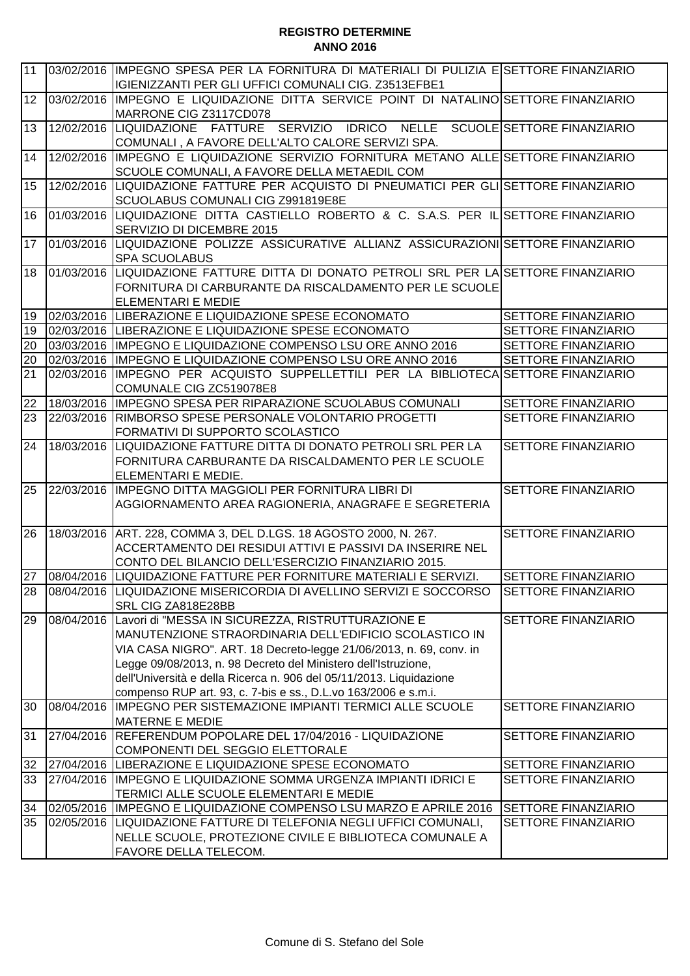| 03/02/2016 IIMPEGNO SPESA PER LA FORNITURA DI MATERIALI DI PULIZIA E SETTORE FINANZIARIO |
|------------------------------------------------------------------------------------------|
| 03/02/2016 IMPEGNO E LIQUIDAZIONE DITTA SERVICE POINT DI NATALINO SETTORE FINANZIARIO    |
| 12/02/2016 LIQUIDAZIONE FATTURE SERVIZIO IDRICO NELLE SCUOLE SETTORE FINANZIARIO         |
| 12/02/2016 IMPEGNO E LIQUIDAZIONE SERVIZIO FORNITURA METANO ALLE SETTORE FINANZIARIO     |
| 12/02/2016 LIQUIDAZIONE FATTURE PER ACQUISTO DI PNEUMATICI PER GLI SETTORE FINANZIARIO   |
| 01/03/2016 LIQUIDAZIONE DITTA CASTIELLO ROBERTO & C. S.A.S. PER IL SETTORE FINANZIARIO   |
| 01/03/2016 LIQUIDAZIONE POLIZZE ASSICURATIVE ALLIANZ ASSICURAZIONI SETTORE FINANZIARIO   |
| 01/03/2016 LIQUIDAZIONE FATTURE DITTA DI DONATO PETROLI SRL PER LA SETTORE FINANZIARIO   |
| SETTORE FINANZIARIO                                                                      |
| SETTORE FINANZIARIO                                                                      |
| SETTORE FINANZIARIO                                                                      |
| <b>SETTORE FINANZIARIO</b>                                                               |
| IMPEGNO PER ACQUISTO SUPPELLETTILI PER LA BIBLIOTECA SETTORE FINANZIARIO                 |
| SETTORE FINANZIARIO                                                                      |
| SETTORE FINANZIARIO                                                                      |
| SETTORE FINANZIARIO                                                                      |
| SETTORE FINANZIARIO                                                                      |
| SETTORE FINANZIARIO                                                                      |
| <b>SETTORE FINANZIARIO</b>                                                               |
| SETTORE FINANZIARIO                                                                      |
| SETTORE FINANZIARIO                                                                      |
| <b>SETTORE FINANZIARIO</b>                                                               |
| SETTORE FINANZIARIO                                                                      |
| SETTORE FINANZIARIO                                                                      |
| SETTORE FINANZIARIO                                                                      |
| <b>SETTORE FINANZIARIO</b>                                                               |
| SETTORE FINANZIARIO                                                                      |
|                                                                                          |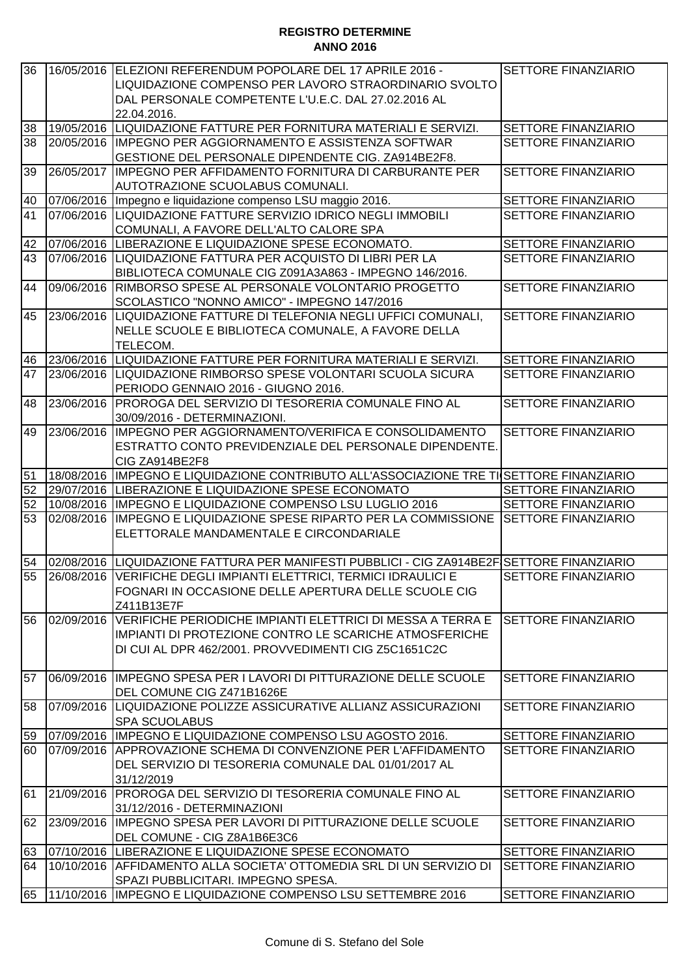| 36       | 16/05/2016 | ELEZIONI REFERENDUM POPOLARE DEL 17 APRILE 2016 -<br>LIQUIDAZIONE COMPENSO PER LAVORO STRAORDINARIO SVOLTO                                                                   | SETTORE FINANZIARIO                                      |
|----------|------------|------------------------------------------------------------------------------------------------------------------------------------------------------------------------------|----------------------------------------------------------|
|          |            | DAL PERSONALE COMPETENTE L'U.E.C. DAL 27.02.2016 AL                                                                                                                          |                                                          |
|          |            | 22.04.2016.                                                                                                                                                                  |                                                          |
| 38       |            | 19/05/2016 LIQUIDAZIONE FATTURE PER FORNITURA MATERIALI E SERVIZI.                                                                                                           | SETTORE FINANZIARIO                                      |
| 38       | 20/05/2016 | IMPEGNO PER AGGIORNAMENTO E ASSISTENZA SOFTWAR<br>GESTIONE DEL PERSONALE DIPENDENTE CIG. ZA914BE2F8.                                                                         | SETTORE FINANZIARIO                                      |
| 39       | 26/05/2017 | IMPEGNO PER AFFIDAMENTO FORNITURA DI CARBURANTE PER<br>AUTOTRAZIONE SCUOLABUS COMUNALI.                                                                                      | <b>SETTORE FINANZIARIO</b>                               |
| 40       | 07/06/2016 | Impegno e liquidazione compenso LSU maggio 2016.                                                                                                                             | SETTORE FINANZIARIO                                      |
| 41       | 07/06/2016 | LIQUIDAZIONE FATTURE SERVIZIO IDRICO NEGLI IMMOBILI<br>COMUNALI, A FAVORE DELL'ALTO CALORE SPA                                                                               | <b>SETTORE FINANZIARIO</b>                               |
| 42       |            | 07/06/2016 LIBERAZIONE E LIQUIDAZIONE SPESE ECONOMATO.                                                                                                                       | SETTORE FINANZIARIO                                      |
| 43       |            | 07/06/2016 LIQUIDAZIONE FATTURA PER ACQUISTO DI LIBRI PER LA<br>BIBLIOTECA COMUNALE CIG Z091A3A863 - IMPEGNO 146/2016.                                                       | SETTORE FINANZIARIO                                      |
| 44       |            | 09/06/2016 RIMBORSO SPESE AL PERSONALE VOLONTARIO PROGETTO<br>SCOLASTICO "NONNO AMICO" - IMPEGNO 147/2016                                                                    | SETTORE FINANZIARIO                                      |
| 45       |            | 23/06/2016 LIQUIDAZIONE FATTURE DI TELEFONIA NEGLI UFFICI COMUNALI,<br>NELLE SCUOLE E BIBLIOTECA COMUNALE, A FAVORE DELLA<br>TELECOM.                                        | <b>SETTORE FINANZIARIO</b>                               |
| 46       |            | 23/06/2016 LIQUIDAZIONE FATTURE PER FORNITURA MATERIALI E SERVIZI.                                                                                                           | SETTORE FINANZIARIO                                      |
| 47       | 23/06/2016 | LIQUIDAZIONE RIMBORSO SPESE VOLONTARI SCUOLA SICURA<br>PERIODO GENNAIO 2016 - GIUGNO 2016.                                                                                   | <b>SETTORE FINANZIARIO</b>                               |
| 48       |            | 23/06/2016 PROROGA DEL SERVIZIO DI TESORERIA COMUNALE FINO AL<br>30/09/2016 - DETERMINAZIONI.                                                                                | SETTORE FINANZIARIO                                      |
| 49       | 23/06/2016 | IMPEGNO PER AGGIORNAMENTO/VERIFICA E CONSOLIDAMENTO                                                                                                                          | SETTORE FINANZIARIO                                      |
|          |            | ESTRATTO CONTO PREVIDENZIALE DEL PERSONALE DIPENDENTE.<br>CIG ZA914BE2F8                                                                                                     |                                                          |
| 51       |            | 18/08/2016 IMPEGNO E LIQUIDAZIONE CONTRIBUTO ALL'ASSOCIAZIONE TRE TI SETTORE FINANZIARIO                                                                                     |                                                          |
| 52       |            | 29/07/2016   LIBERAZIONE E LIQUIDAZIONE SPESE ECONOMATO                                                                                                                      | <b>SETTORE FINANZIARIO</b>                               |
| 52       | 10/08/2016 | IMPEGNO E LIQUIDAZIONE COMPENSO LSU LUGLIO 2016                                                                                                                              | <b>SETTORE FINANZIARIO</b>                               |
| 53       | 02/08/2016 | IMPEGNO E LIQUIDAZIONE SPESE RIPARTO PER LA COMMISSIONE                                                                                                                      | <b>SETTORE FINANZIARIO</b>                               |
|          |            | ELETTORALE MANDAMENTALE E CIRCONDARIALE                                                                                                                                      |                                                          |
| 54       |            | 02/08/2016 LIQUIDAZIONE FATTURA PER MANIFESTI PUBBLICI - CIG ZA914BE2F SETTORE FINANZIARIO                                                                                   |                                                          |
| 55       |            | 26/08/2016   VERIFICHE DEGLI IMPIANTI ELETTRICI, TERMICI IDRAULICI E<br>FOGNARI IN OCCASIONE DELLE APERTURA DELLE SCUOLE CIG<br>Z411B13E7F                                   | <b>SETTORE FINANZIARIO</b>                               |
| 56       | 02/09/2016 | VERIFICHE PERIODICHE IMPIANTI ELETTRICI DI MESSA A TERRA E<br>IMPIANTI DI PROTEZIONE CONTRO LE SCARICHE ATMOSFERICHE<br>DI CUI AL DPR 462/2001. PROVVEDIMENTI CIG Z5C1651C2C | <b>SETTORE FINANZIARIO</b>                               |
| 57       |            | 06/09/2016 IIMPEGNO SPESA PER I LAVORI DI PITTURAZIONE DELLE SCUOLE<br>DEL COMUNE CIG Z471B1626E                                                                             | <b>SETTORE FINANZIARIO</b>                               |
| 58       |            | 07/09/2016 LIQUIDAZIONE POLIZZE ASSICURATIVE ALLIANZ ASSICURAZIONI<br><b>SPA SCUOLABUS</b>                                                                                   | <b>SETTORE FINANZIARIO</b>                               |
| 59       |            | 07/09/2016  IMPEGNO E LIQUIDAZIONE COMPENSO LSU AGOSTO 2016.                                                                                                                 | <b>SETTORE FINANZIARIO</b>                               |
| 60       |            | 07/09/2016  APPROVAZIONE SCHEMA DI CONVENZIONE PER L'AFFIDAMENTO<br>DEL SERVIZIO DI TESORERIA COMUNALE DAL 01/01/2017 AL<br>31/12/2019                                       | <b>SETTORE FINANZIARIO</b>                               |
| 61       |            | 21/09/2016 PROROGA DEL SERVIZIO DI TESORERIA COMUNALE FINO AL<br>31/12/2016 - DETERMINAZIONI                                                                                 | <b>SETTORE FINANZIARIO</b>                               |
| 62       |            |                                                                                                                                                                              |                                                          |
|          |            | 23/09/2016 IIMPEGNO SPESA PER LAVORI DI PITTURAZIONE DELLE SCUOLE                                                                                                            | SETTORE FINANZIARIO                                      |
|          |            | DEL COMUNE - CIG Z8A1B6E3C6                                                                                                                                                  |                                                          |
| 63<br>64 |            | 07/10/2016 LIBERAZIONE E LIQUIDAZIONE SPESE ECONOMATO<br>10/10/2016 AFFIDAMENTO ALLA SOCIETA' OTTOMEDIA SRL DI UN SERVIZIO DI                                                | <b>SETTORE FINANZIARIO</b><br><b>SETTORE FINANZIARIO</b> |
| 65       |            | SPAZI PUBBLICITARI. IMPEGNO SPESA.<br>11/10/2016  IMPEGNO E LIQUIDAZIONE COMPENSO LSU SETTEMBRE 2016                                                                         | SETTORE FINANZIARIO                                      |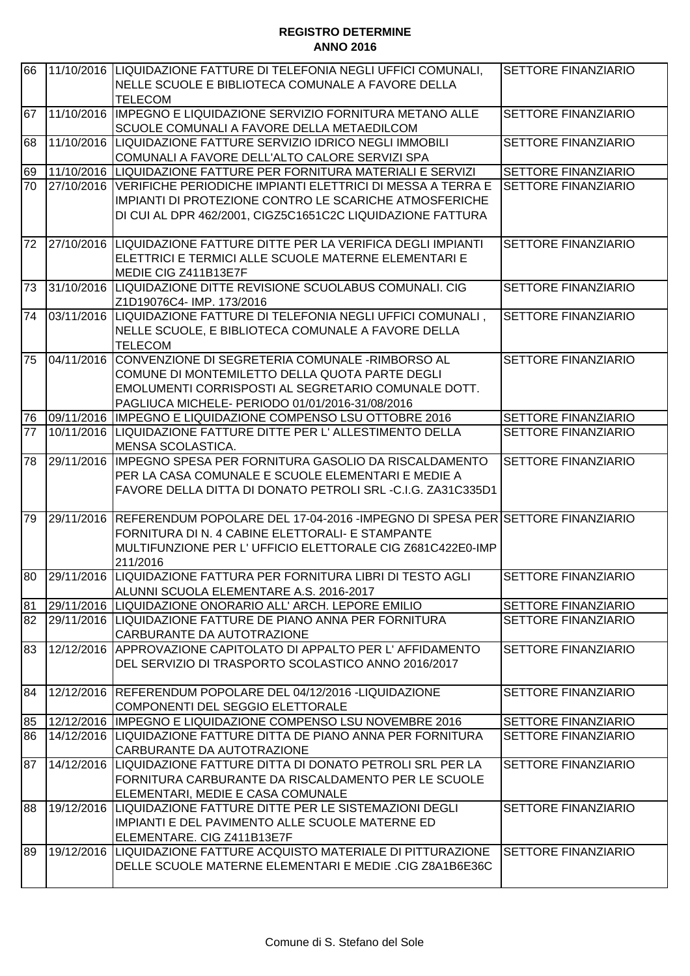| 66 |            | 11/10/2016 LIQUIDAZIONE FATTURE DI TELEFONIA NEGLI UFFICI COMUNALI,<br>NELLE SCUOLE E BIBLIOTECA COMUNALE A FAVORE DELLA                                                                                              | <b>SETTORE FINANZIARIO</b> |
|----|------------|-----------------------------------------------------------------------------------------------------------------------------------------------------------------------------------------------------------------------|----------------------------|
| 67 |            | <b>TELECOM</b><br>11/10/2016  IMPEGNO E LIQUIDAZIONE SERVIZIO FORNITURA METANO ALLE                                                                                                                                   | SETTORE FINANZIARIO        |
| 68 |            | SCUOLE COMUNALI A FAVORE DELLA METAEDILCOM<br>11/10/2016 LIQUIDAZIONE FATTURE SERVIZIO IDRICO NEGLI IMMOBILI<br>COMUNALI A FAVORE DELL'ALTO CALORE SERVIZI SPA                                                        | SETTORE FINANZIARIO        |
| 69 |            | 11/10/2016 LIQUIDAZIONE FATTURE PER FORNITURA MATERIALI E SERVIZI                                                                                                                                                     | <b>SETTORE FINANZIARIO</b> |
| 70 | 27/10/2016 | VERIFICHE PERIODICHE IMPIANTI ELETTRICI DI MESSA A TERRA E                                                                                                                                                            | <b>SETTORE FINANZIARIO</b> |
|    |            | IMPIANTI DI PROTEZIONE CONTRO LE SCARICHE ATMOSFERICHE<br>DI CUI AL DPR 462/2001, CIGZ5C1651C2C LIQUIDAZIONE FATTURA                                                                                                  |                            |
| 72 |            | 27/10/2016 LIQUIDAZIONE FATTURE DITTE PER LA VERIFICA DEGLI IMPIANTI<br>ELETTRICI E TERMICI ALLE SCUOLE MATERNE ELEMENTARI E<br>MEDIE CIG Z411B13E7F                                                                  | <b>SETTORE FINANZIARIO</b> |
| 73 |            | 31/10/2016 LIQUIDAZIONE DITTE REVISIONE SCUOLABUS COMUNALI. CIG<br>Z1D19076C4-IMP. 173/2016                                                                                                                           | <b>SETTORE FINANZIARIO</b> |
| 74 |            | 03/11/2016 LIQUIDAZIONE FATTURE DI TELEFONIA NEGLI UFFICI COMUNALI,<br>NELLE SCUOLE, E BIBLIOTECA COMUNALE A FAVORE DELLA<br><b>TELECOM</b>                                                                           | <b>SETTORE FINANZIARIO</b> |
| 75 | 04/11/2016 | CONVENZIONE DI SEGRETERIA COMUNALE -RIMBORSO AL<br>COMUNE DI MONTEMILETTO DELLA QUOTA PARTE DEGLI<br>EMOLUMENTI CORRISPOSTI AL SEGRETARIO COMUNALE DOTT.<br>PAGLIUCA MICHELE- PERIODO 01/01/2016-31/08/2016           | SETTORE FINANZIARIO        |
| 76 |            | 09/11/2016 IMPEGNO E LIQUIDAZIONE COMPENSO LSU OTTOBRE 2016                                                                                                                                                           | <b>SETTORE FINANZIARIO</b> |
| 77 |            | 10/11/2016 LIQUIDAZIONE FATTURE DITTE PER L'ALLESTIMENTO DELLA<br><b>MENSA SCOLASTICA.</b>                                                                                                                            | <b>SETTORE FINANZIARIO</b> |
| 78 | 29/11/2016 | IMPEGNO SPESA PER FORNITURA GASOLIO DA RISCALDAMENTO<br>PER LA CASA COMUNALE E SCUOLE ELEMENTARI E MEDIE A<br>FAVORE DELLA DITTA DI DONATO PETROLI SRL-C.I.G. ZA31C335D1                                              | <b>SETTORE FINANZIARIO</b> |
| 79 |            | 29/11/2016  REFERENDUM POPOLARE DEL 17-04-2016 -IMPEGNO DI SPESA PERİSETTORE FINANZIARIO<br>FORNITURA DI N. 4 CABINE ELETTORALI- E STAMPANTE<br>MULTIFUNZIONE PER L'UFFICIO ELETTORALE CIG Z681C422E0-IMP<br>211/2016 |                            |
| 80 |            | 29/11/2016   LIQUIDAZIONE FATTURA PER FORNITURA LIBRI DI TESTO AGLI<br>ALUNNI SCUOLA ELEMENTARE A.S. 2016-2017                                                                                                        | <b>SETTORE FINANZIARIO</b> |
| 81 |            | 29/11/2016 LIQUIDAZIONE ONORARIO ALL' ARCH. LEPORE EMILIO                                                                                                                                                             | <b>SETTORE FINANZIARIO</b> |
| 82 |            | 29/11/2016 LIQUIDAZIONE FATTURE DE PIANO ANNA PER FORNITURA<br>CARBURANTE DA AUTOTRAZIONE                                                                                                                             | <b>SETTORE FINANZIARIO</b> |
| 83 |            | 12/12/2016 APPROVAZIONE CAPITOLATO DI APPALTO PER L'AFFIDAMENTO<br>DEL SERVIZIO DI TRASPORTO SCOLASTICO ANNO 2016/2017                                                                                                | SETTORE FINANZIARIO        |
| 84 |            | 12/12/2016 REFERENDUM POPOLARE DEL 04/12/2016 -LIQUIDAZIONE<br>COMPONENTI DEL SEGGIO ELETTORALE                                                                                                                       | <b>SETTORE FINANZIARIO</b> |
| 85 |            | 12/12/2016   IMPEGNO E LIQUIDAZIONE COMPENSO LSU NOVEMBRE 2016                                                                                                                                                        | <b>SETTORE FINANZIARIO</b> |
| 86 |            | 14/12/2016 LIQUIDAZIONE FATTURE DITTA DE PIANO ANNA PER FORNITURA<br>CARBURANTE DA AUTOTRAZIONE                                                                                                                       | <b>SETTORE FINANZIARIO</b> |
| 87 |            | 14/12/2016 LIQUIDAZIONE FATTURE DITTA DI DONATO PETROLI SRL PER LA<br>FORNITURA CARBURANTE DA RISCALDAMENTO PER LE SCUOLE<br>ELEMENTARI, MEDIE E CASA COMUNALE                                                        | <b>SETTORE FINANZIARIO</b> |
| 88 |            | 19/12/2016 LIQUIDAZIONE FATTURE DITTE PER LE SISTEMAZIONI DEGLI<br>IMPIANTI E DEL PAVIMENTO ALLE SCUOLE MATERNE ED<br>ELEMENTARE. CIG Z411B13E7F                                                                      | SETTORE FINANZIARIO        |
| 89 |            | 19/12/2016 LIQUIDAZIONE FATTURE ACQUISTO MATERIALE DI PITTURAZIONE<br>DELLE SCUOLE MATERNE ELEMENTARI E MEDIE .CIG Z8A1B6E36C                                                                                         | <b>SETTORE FINANZIARIO</b> |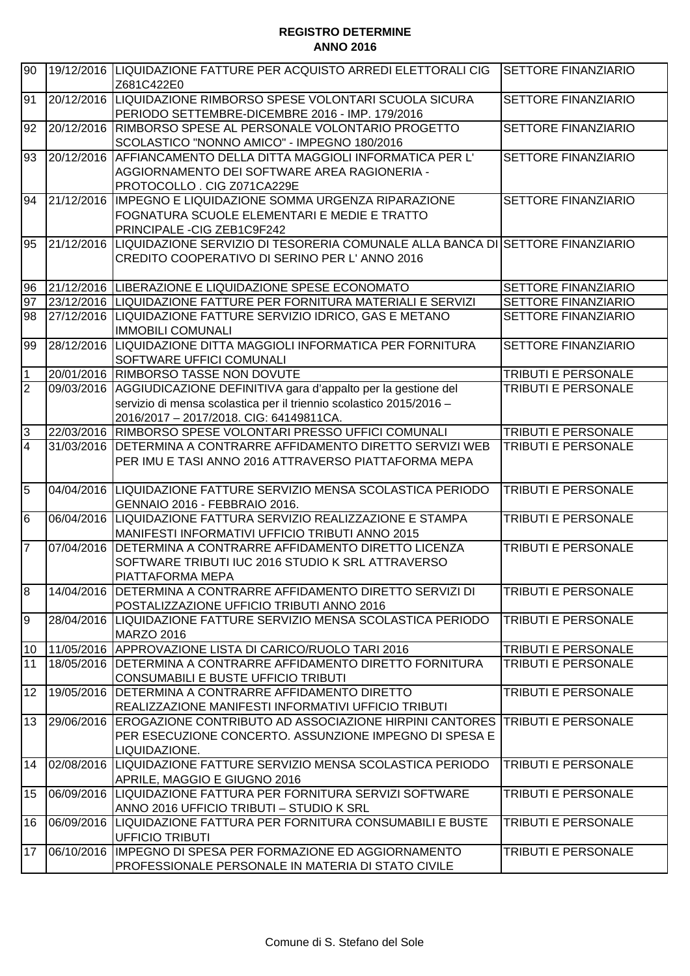| 90              |            | 19/12/2016  LIQUIDAZIONE FATTURE PER ACQUISTO ARREDI ELETTORALI CIG<br>Z681C422E0                                          | SETTORE FINANZIARIO                        |
|-----------------|------------|----------------------------------------------------------------------------------------------------------------------------|--------------------------------------------|
| 91              |            | 20/12/2016 LIQUIDAZIONE RIMBORSO SPESE VOLONTARI SCUOLA SICURA                                                             | <b>SETTORE FINANZIARIO</b>                 |
|                 |            | PERIODO SETTEMBRE-DICEMBRE 2016 - IMP. 179/2016                                                                            |                                            |
| 92              |            | 20/12/2016 RIMBORSO SPESE AL PERSONALE VOLONTARIO PROGETTO                                                                 | <b>SETTORE FINANZIARIO</b>                 |
|                 |            | SCOLASTICO "NONNO AMICO" - IMPEGNO 180/2016                                                                                |                                            |
| 93              |            | 20/12/2016   AFFIANCAMENTO DELLA DITTA MAGGIOLI INFORMATICA PER L'                                                         | SETTORE FINANZIARIO                        |
|                 |            | AGGIORNAMENTO DEI SOFTWARE AREA RAGIONERIA -                                                                               |                                            |
|                 |            | PROTOCOLLO. CIG Z071CA229E                                                                                                 |                                            |
| 94              | 21/12/2016 | IMPEGNO E LIQUIDAZIONE SOMMA URGENZA RIPARAZIONE                                                                           | SETTORE FINANZIARIO                        |
|                 |            | FOGNATURA SCUOLE ELEMENTARI E MEDIE E TRATTO                                                                               |                                            |
|                 |            | PRINCIPALE - CIG ZEB1C9F242                                                                                                |                                            |
| 95              | 21/12/2016 | LIQUIDAZIONE SERVIZIO DI TESORERIA COMUNALE ALLA BANCA DI SETTORE FINANZIARIO                                              |                                            |
|                 |            | CREDITO COOPERATIVO DI SERINO PER L'ANNO 2016                                                                              |                                            |
|                 |            |                                                                                                                            |                                            |
| 96<br>97        |            | 21/12/2016 LIBERAZIONE E LIQUIDAZIONE SPESE ECONOMATO<br>23/12/2016 LIQUIDAZIONE FATTURE PER FORNITURA MATERIALI E SERVIZI | SETTORE FINANZIARIO<br>SETTORE FINANZIARIO |
| 98              |            | 27/12/2016 LIQUIDAZIONE FATTURE SERVIZIO IDRICO, GAS E METANO                                                              | <b>SETTORE FINANZIARIO</b>                 |
|                 |            | <b>IMMOBILI COMUNALI</b>                                                                                                   |                                            |
| 99              |            | 28/12/2016 LIQUIDAZIONE DITTA MAGGIOLI INFORMATICA PER FORNITURA                                                           | SETTORE FINANZIARIO                        |
|                 |            | <b>SOFTWARE UFFICI COMUNALI</b>                                                                                            |                                            |
| $\mathbf 1$     |            | 20/01/2016 RIMBORSO TASSE NON DOVUTE                                                                                       | <b>TRIBUTI E PERSONALE</b>                 |
| $\overline{2}$  | 09/03/2016 | AGGIUDICAZIONE DEFINITIVA gara d'appalto per la gestione del                                                               | <b>TRIBUTI E PERSONALE</b>                 |
|                 |            | servizio di mensa scolastica per il triennio scolastico 2015/2016 -                                                        |                                            |
|                 |            | 2016/2017 - 2017/2018. CIG: 64149811CA.                                                                                    |                                            |
| $\sqrt{3}$      |            | 22/03/2016 RIMBORSO SPESE VOLONTARI PRESSO UFFICI COMUNALI                                                                 | <b>TRIBUTI E PERSONALE</b>                 |
| $\overline{4}$  |            | 31/03/2016   DETERMINA A CONTRARRE AFFIDAMENTO DIRETTO SERVIZI WEB                                                         | <b>TRIBUTI E PERSONALE</b>                 |
|                 |            | PER IMU E TASI ANNO 2016 ATTRAVERSO PIATTAFORMA MEPA                                                                       |                                            |
| $5\overline{6}$ |            | 04/04/2016 LIQUIDAZIONE FATTURE SERVIZIO MENSA SCOLASTICA PERIODO                                                          | <b>TRIBUTI E PERSONALE</b>                 |
|                 |            | GENNAIO 2016 - FEBBRAIO 2016.                                                                                              |                                            |
| $6\overline{6}$ |            | 06/04/2016  LIQUIDAZIONE FATTURA SERVIZIO REALIZZAZIONE E STAMPA                                                           | <b>TRIBUTI E PERSONALE</b>                 |
|                 |            | MANIFESTI INFORMATIVI UFFICIO TRIBUTI ANNO 2015                                                                            |                                            |
| $\overline{7}$  |            | 07/04/2016   DETERMINA A CONTRARRE AFFIDAMENTO DIRETTO LICENZA                                                             | <b>TRIBUTI E PERSONALE</b>                 |
|                 |            | SOFTWARE TRIBUTI IUC 2016 STUDIO K SRL ATTRAVERSO                                                                          |                                            |
|                 |            | PIATTAFORMA MEPA                                                                                                           |                                            |
| $\overline{8}$  |            | 14/04/2016   DETERMINA A CONTRARRE AFFIDAMENTO DIRETTO SERVIZI DI                                                          | <b>TRIBUTI E PERSONALE</b>                 |
|                 |            | POSTALIZZAZIONE UFFICIO TRIBUTI ANNO 2016                                                                                  |                                            |
| 9               |            | 28/04/2016   LIQUIDAZIONE FATTURE SERVIZIO MENSA SCOLASTICA PERIODO<br><b>MARZO 2016</b>                                   | <b>TRIBUTI E PERSONALE</b>                 |
| 10              |            | 11/05/2016 APPROVAZIONE LISTA DI CARICO/RUOLO TARI 2016                                                                    | TRIBUTI E PERSONALE                        |
| 11              |            | 18/05/2016 DETERMINA A CONTRARRE AFFIDAMENTO DIRETTO FORNITURA                                                             | <b>TRIBUTI E PERSONALE</b>                 |
|                 |            | CONSUMABILI E BUSTE UFFICIO TRIBUTI                                                                                        |                                            |
| 12              |            | 19/05/2016 DETERMINA A CONTRARRE AFFIDAMENTO DIRETTO                                                                       | <b>TRIBUTI E PERSONALE</b>                 |
|                 |            | REALIZZAZIONE MANIFESTI INFORMATIVI UFFICIO TRIBUTI                                                                        |                                            |
| 13              |            | 29/06/2016 EROGAZIONE CONTRIBUTO AD ASSOCIAZIONE HIRPINI CANTORES                                                          | <b>TRIBUTI E PERSONALE</b>                 |
|                 |            | PER ESECUZIONE CONCERTO. ASSUNZIONE IMPEGNO DI SPESA E                                                                     |                                            |
|                 |            | LIQUIDAZIONE.                                                                                                              |                                            |
| 14              |            | 02/08/2016 LIQUIDAZIONE FATTURE SERVIZIO MENSA SCOLASTICA PERIODO                                                          | <b>TRIBUTI E PERSONALE</b>                 |
|                 |            | APRILE, MAGGIO E GIUGNO 2016                                                                                               |                                            |
| 15              |            | 06/09/2016 LIQUIDAZIONE FATTURA PER FORNITURA SERVIZI SOFTWARE                                                             | <b>TRIBUTI E PERSONALE</b>                 |
|                 |            | ANNO 2016 UFFICIO TRIBUTI - STUDIO K SRL                                                                                   |                                            |
| 16              |            | 06/09/2016  LIQUIDAZIONE FATTURA PER FORNITURA CONSUMABILI E BUSTE                                                         | <b>TRIBUTI E PERSONALE</b>                 |
| 17              |            | <b>UFFICIO TRIBUTI</b><br>06/10/2016  IMPEGNO DI SPESA PER FORMAZIONE ED AGGIORNAMENTO                                     | TRIBUTI E PERSONALE                        |
|                 |            | PROFESSIONALE PERSONALE IN MATERIA DI STATO CIVILE                                                                         |                                            |
|                 |            |                                                                                                                            |                                            |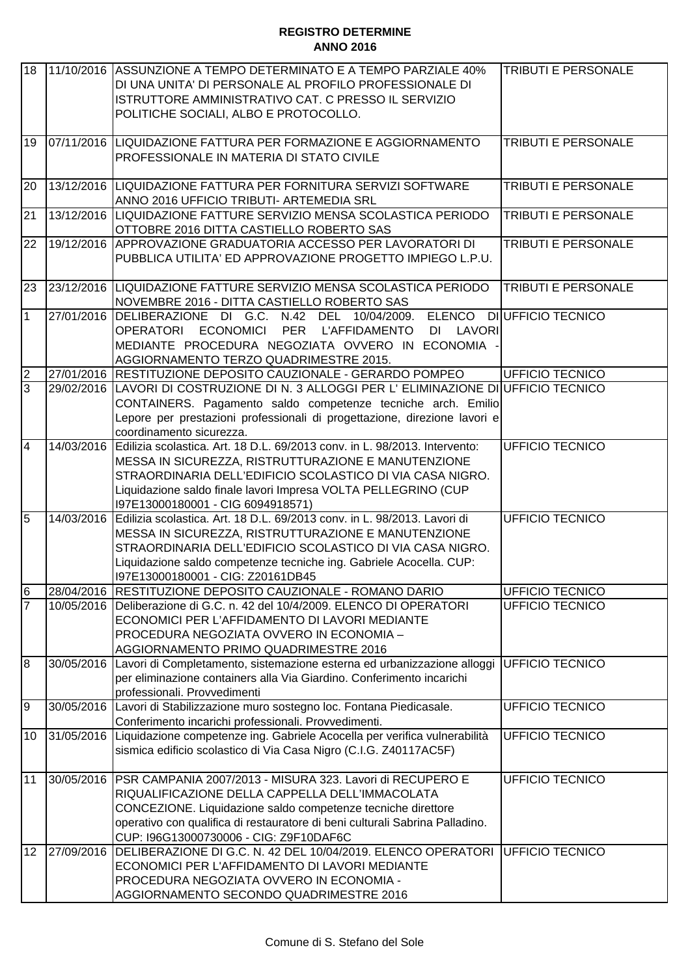| 18              |            | 11/10/2016 ASSUNZIONE A TEMPO DETERMINATO E A TEMPO PARZIALE 40%<br>DI UNA UNITA' DI PERSONALE AL PROFILO PROFESSIONALE DI<br>ISTRUTTORE AMMINISTRATIVO CAT. C PRESSO IL SERVIZIO<br>POLITICHE SOCIALI, ALBO E PROTOCOLLO.                                                                               | <b>TRIBUTI E PERSONALE</b> |
|-----------------|------------|----------------------------------------------------------------------------------------------------------------------------------------------------------------------------------------------------------------------------------------------------------------------------------------------------------|----------------------------|
| 19              |            | 07/11/2016 LIQUIDAZIONE FATTURA PER FORMAZIONE E AGGIORNAMENTO<br>PROFESSIONALE IN MATERIA DI STATO CIVILE                                                                                                                                                                                               | <b>TRIBUTI E PERSONALE</b> |
| 20              |            | 13/12/2016 LIQUIDAZIONE FATTURA PER FORNITURA SERVIZI SOFTWARE<br>ANNO 2016 UFFICIO TRIBUTI- ARTEMEDIA SRL                                                                                                                                                                                               | TRIBUTI E PERSONALE        |
| 21              |            | 13/12/2016 LIQUIDAZIONE FATTURE SERVIZIO MENSA SCOLASTICA PERIODO<br>OTTOBRE 2016 DITTA CASTIELLO ROBERTO SAS                                                                                                                                                                                            | TRIBUTI E PERSONALE        |
| 22              |            | 19/12/2016 APPROVAZIONE GRADUATORIA ACCESSO PER LAVORATORI DI<br>PUBBLICA UTILITA' ED APPROVAZIONE PROGETTO IMPIEGO L.P.U.                                                                                                                                                                               | <b>TRIBUTI E PERSONALE</b> |
| 23              |            | 23/12/2016 LIQUIDAZIONE FATTURE SERVIZIO MENSA SCOLASTICA PERIODO<br>NOVEMBRE 2016 - DITTA CASTIELLO ROBERTO SAS                                                                                                                                                                                         | <b>TRIBUTI E PERSONALE</b> |
| $\mathbf{1}$    |            | 27/01/2016 DELIBERAZIONE DI G.C. N.42 DEL 10/04/2009.<br>DI LAVORI<br>OPERATORI ECONOMICI PER L'AFFIDAMENTO<br>MEDIANTE PROCEDURA NEGOZIATA OVVERO IN ECONOMIA -<br>AGGIORNAMENTO TERZO QUADRIMESTRE 2015.                                                                                               | ELENCO DI UFFICIO TECNICO  |
| $\overline{2}$  |            | 27/01/2016 RESTITUZIONE DEPOSITO CAUZIONALE - GERARDO POMPEO                                                                                                                                                                                                                                             | UFFICIO TECNICO            |
| $\overline{3}$  | 29/02/2016 | LAVORI DI COSTRUZIONE DI N. 3 ALLOGGI PER L' ELIMINAZIONE DI UFFICIO TECNICO<br>CONTAINERS. Pagamento saldo competenze tecniche arch. Emilio<br>Lepore per prestazioni professionali di progettazione, direzione lavori e<br>coordinamento sicurezza.                                                    |                            |
| $\overline{4}$  | 14/03/2016 | Edilizia scolastica. Art. 18 D.L. 69/2013 conv. in L. 98/2013. Intervento:<br>MESSA IN SICUREZZA, RISTRUTTURAZIONE E MANUTENZIONE<br>STRAORDINARIA DELL'EDIFICIO SCOLASTICO DI VIA CASA NIGRO.<br>Liquidazione saldo finale lavori Impresa VOLTA PELLEGRINO (CUP<br>I97E13000180001 - CIG 6094918571)    | <b>UFFICIO TECNICO</b>     |
| $\overline{5}$  | 14/03/2016 | Edilizia scolastica. Art. 18 D.L. 69/2013 conv. in L. 98/2013. Lavori di<br>MESSA IN SICUREZZA, RISTRUTTURAZIONE E MANUTENZIONE<br>STRAORDINARIA DELL'EDIFICIO SCOLASTICO DI VIA CASA NIGRO.<br>Liquidazione saldo competenze tecniche ing. Gabriele Acocella. CUP:<br>197E13000180001 - CIG: Z20161DB45 | <b>UFFICIO TECNICO</b>     |
| $6\overline{6}$ |            | 28/04/2016 RESTITUZIONE DEPOSITO CAUZIONALE - ROMANO DARIO                                                                                                                                                                                                                                               | <b>UFFICIO TECNICO</b>     |
| $\overline{7}$  | 10/05/2016 | Deliberazione di G.C. n. 42 del 10/4/2009. ELENCO DI OPERATORI<br>ECONOMICI PER L'AFFIDAMENTO DI LAVORI MEDIANTE<br>PROCEDURA NEGOZIATA OVVERO IN ECONOMIA -<br>AGGIORNAMENTO PRIMO QUADRIMESTRE 2016                                                                                                    | UFFICIO TECNICO            |
| $\overline{8}$  | 30/05/2016 | Lavori di Completamento, sistemazione esterna ed urbanizzazione alloggi<br>per eliminazione containers alla Via Giardino. Conferimento incarichi<br>professionali. Provvedimenti                                                                                                                         | <b>UFFICIO TECNICO</b>     |
| $\overline{9}$  | 30/05/2016 | Lavori di Stabilizzazione muro sostegno loc. Fontana Piedicasale.<br>Conferimento incarichi professionali. Provvedimenti.                                                                                                                                                                                | <b>UFFICIO TECNICO</b>     |
| 10              | 31/05/2016 | Liquidazione competenze ing. Gabriele Acocella per verifica vulnerabilità<br>sismica edificio scolastico di Via Casa Nigro (C.I.G. Z40117AC5F)                                                                                                                                                           | UFFICIO TECNICO            |
| 11              | 30/05/2016 | PSR CAMPANIA 2007/2013 - MISURA 323. Lavori di RECUPERO E<br>RIQUALIFICAZIONE DELLA CAPPELLA DELL'IMMACOLATA<br>CONCEZIONE. Liquidazione saldo competenze tecniche direttore<br>operativo con qualifica di restauratore di beni culturali Sabrina Palladino.<br>CUP: I96G13000730006 - CIG: Z9F10DAF6C   | <b>UFFICIO TECNICO</b>     |
| 12              | 27/09/2016 | DELIBERAZIONE DI G.C. N. 42 DEL 10/04/2019. ELENCO OPERATORI<br>ECONOMICI PER L'AFFIDAMENTO DI LAVORI MEDIANTE<br>PROCEDURA NEGOZIATA OVVERO IN ECONOMIA -<br>AGGIORNAMENTO SECONDO QUADRIMESTRE 2016                                                                                                    | <b>UFFICIO TECNICO</b>     |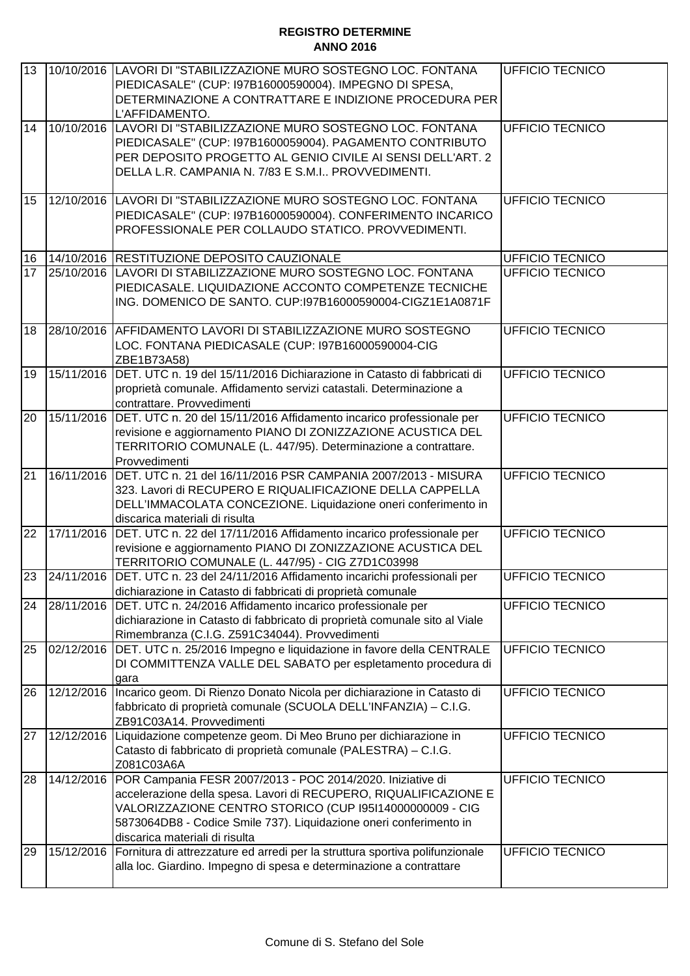| 13 |            | 10/10/2016 LAVORI DI "STABILIZZAZIONE MURO SOSTEGNO LOC. FONTANA<br>PIEDICASALE" (CUP: 197B16000590004). IMPEGNO DI SPESA,<br>DETERMINAZIONE A CONTRATTARE E INDIZIONE PROCEDURA PER<br>L'AFFIDAMENTO. | <b>UFFICIO TECNICO</b> |
|----|------------|--------------------------------------------------------------------------------------------------------------------------------------------------------------------------------------------------------|------------------------|
| 14 | 10/10/2016 | LAVORI DI "STABILIZZAZIONE MURO SOSTEGNO LOC. FONTANA                                                                                                                                                  | <b>UFFICIO TECNICO</b> |
|    |            |                                                                                                                                                                                                        |                        |
|    |            | PIEDICASALE" (CUP: 197B1600059004). PAGAMENTO CONTRIBUTO                                                                                                                                               |                        |
|    |            | PER DEPOSITO PROGETTO AL GENIO CIVILE AI SENSI DELL'ART. 2                                                                                                                                             |                        |
|    |            | DELLA L.R. CAMPANIA N. 7/83 E S.M.I PROVVEDIMENTI.                                                                                                                                                     |                        |
| 15 |            | 12/10/2016 LAVORI DI "STABILIZZAZIONE MURO SOSTEGNO LOC. FONTANA                                                                                                                                       | <b>UFFICIO TECNICO</b> |
|    |            | PIEDICASALE" (CUP: 197B16000590004). CONFERIMENTO INCARICO                                                                                                                                             |                        |
|    |            | PROFESSIONALE PER COLLAUDO STATICO. PROVVEDIMENTI.                                                                                                                                                     |                        |
|    |            |                                                                                                                                                                                                        |                        |
| 16 |            | 14/10/2016 RESTITUZIONE DEPOSITO CAUZIONALE                                                                                                                                                            | UFFICIO TECNICO        |
| 17 |            | 25/10/2016 LAVORI DI STABILIZZAZIONE MURO SOSTEGNO LOC. FONTANA                                                                                                                                        | <b>UFFICIO TECNICO</b> |
|    |            | PIEDICASALE. LIQUIDAZIONE ACCONTO COMPETENZE TECNICHE                                                                                                                                                  |                        |
|    |            | ING. DOMENICO DE SANTO. CUP:197B16000590004-CIGZ1E1A0871F                                                                                                                                              |                        |
|    |            |                                                                                                                                                                                                        |                        |
| 18 |            | 28/10/2016 AFFIDAMENTO LAVORI DI STABILIZZAZIONE MURO SOSTEGNO                                                                                                                                         | <b>UFFICIO TECNICO</b> |
|    |            | LOC. FONTANA PIEDICASALE (CUP: 197B16000590004-CIG                                                                                                                                                     |                        |
|    |            | ZBE1B73A58)                                                                                                                                                                                            |                        |
| 19 | 15/11/2016 | DET. UTC n. 19 del 15/11/2016 Dichiarazione in Catasto di fabbricati di                                                                                                                                | <b>UFFICIO TECNICO</b> |
|    |            | proprietà comunale. Affidamento servizi catastali. Determinazione a                                                                                                                                    |                        |
|    |            | contrattare. Provvedimenti                                                                                                                                                                             |                        |
| 20 | 15/11/2016 | DET. UTC n. 20 del 15/11/2016 Affidamento incarico professionale per                                                                                                                                   | <b>UFFICIO TECNICO</b> |
|    |            | revisione e aggiornamento PIANO DI ZONIZZAZIONE ACUSTICA DEL                                                                                                                                           |                        |
|    |            | TERRITORIO COMUNALE (L. 447/95). Determinazione a contrattare.                                                                                                                                         |                        |
|    |            | Provvedimenti                                                                                                                                                                                          |                        |
| 21 | 16/11/2016 | DET. UTC n. 21 del 16/11/2016 PSR CAMPANIA 2007/2013 - MISURA                                                                                                                                          | <b>UFFICIO TECNICO</b> |
|    |            | 323. Lavori di RECUPERO E RIQUALIFICAZIONE DELLA CAPPELLA                                                                                                                                              |                        |
|    |            | DELL'IMMACOLATA CONCEZIONE. Liquidazione oneri conferimento in                                                                                                                                         |                        |
|    |            | discarica materiali di risulta                                                                                                                                                                         |                        |
| 22 | 17/11/2016 | DET. UTC n. 22 del 17/11/2016 Affidamento incarico professionale per                                                                                                                                   | <b>UFFICIO TECNICO</b> |
|    |            | revisione e aggiornamento PIANO DI ZONIZZAZIONE ACUSTICA DEL                                                                                                                                           |                        |
|    |            | TERRITORIO COMUNALE (L. 447/95) - CIG Z7D1C03998                                                                                                                                                       |                        |
| 23 |            | 24/11/2016 IDET, UTC n. 23 del 24/11/2016 Affidamento incarichi professionali per                                                                                                                      | <b>UFFICIO TECNICO</b> |
|    |            | dichiarazione in Catasto di fabbricati di proprietà comunale                                                                                                                                           |                        |
| 24 | 28/11/2016 | DET. UTC n. 24/2016 Affidamento incarico professionale per                                                                                                                                             | UFFICIO TECNICO        |
|    |            | dichiarazione in Catasto di fabbricato di proprietà comunale sito al Viale                                                                                                                             |                        |
|    |            | Rimembranza (C.I.G. Z591C34044). Provvedimenti                                                                                                                                                         |                        |
| 25 | 02/12/2016 | DET. UTC n. 25/2016 Impegno e liquidazione in favore della CENTRALE                                                                                                                                    | <b>UFFICIO TECNICO</b> |
|    |            | DI COMMITTENZA VALLE DEL SABATO per espletamento procedura di                                                                                                                                          |                        |
|    |            | gara                                                                                                                                                                                                   |                        |
| 26 | 12/12/2016 | Incarico geom. Di Rienzo Donato Nicola per dichiarazione in Catasto di                                                                                                                                 | UFFICIO TECNICO        |
|    |            | fabbricato di proprietà comunale (SCUOLA DELL'INFANZIA) - C.I.G.                                                                                                                                       |                        |
|    |            | ZB91C03A14. Provvedimenti                                                                                                                                                                              |                        |
| 27 | 12/12/2016 | Liquidazione competenze geom. Di Meo Bruno per dichiarazione in                                                                                                                                        | UFFICIO TECNICO        |
|    |            | Catasto di fabbricato di proprietà comunale (PALESTRA) - C.I.G.                                                                                                                                        |                        |
|    |            | Z081C03A6A                                                                                                                                                                                             |                        |
| 28 | 14/12/2016 | POR Campania FESR 2007/2013 - POC 2014/2020. Iniziative di                                                                                                                                             | UFFICIO TECNICO        |
|    |            | accelerazione della spesa. Lavori di RECUPERO, RIQUALIFICAZIONE E                                                                                                                                      |                        |
|    |            | VALORIZZAZIONE CENTRO STORICO (CUP I95I14000000009 - CIG                                                                                                                                               |                        |
|    |            | 5873064DB8 - Codice Smile 737). Liquidazione oneri conferimento in<br>discarica materiali di risulta                                                                                                   |                        |
| 29 | 15/12/2016 | Fornitura di attrezzature ed arredi per la struttura sportiva polifunzionale                                                                                                                           | UFFICIO TECNICO        |
|    |            | alla loc. Giardino. Impegno di spesa e determinazione a contrattare                                                                                                                                    |                        |
|    |            |                                                                                                                                                                                                        |                        |
|    |            |                                                                                                                                                                                                        |                        |